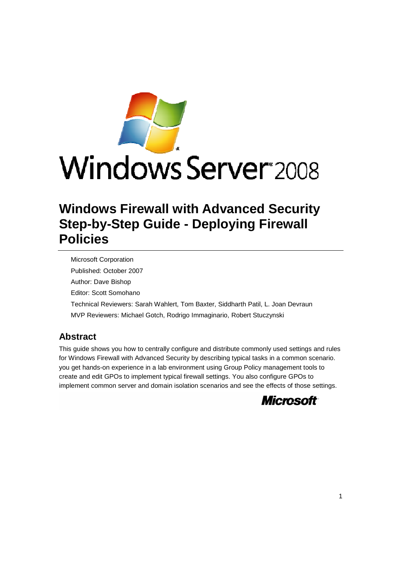

# **Windows Server** 2008

# **Windows Firewall with Advanced Security Step-by-Step Guide - Deploying Firewall Policies**

Microsoft Corporation Published: October 2007 Author: Dave Bishop Editor: Scott Somohano Technical Reviewers: Sarah Wahlert, Tom Baxter, Siddharth Patil, L. Joan Devraun MVP Reviewers: Michael Gotch, Rodrigo Immaginario, Robert Stuczynski

# **Abstract**

This guide shows you how to centrally configure and distribute commonly used settings and rules for Windows Firewall with Advanced Security by describing typical tasks in a common scenario. you get hands-on experience in a lab environment using Group Policy management tools to create and edit GPOs to implement typical firewall settings. You also configure GPOs to implement common server and domain isolation scenarios and see the effects of those settings.

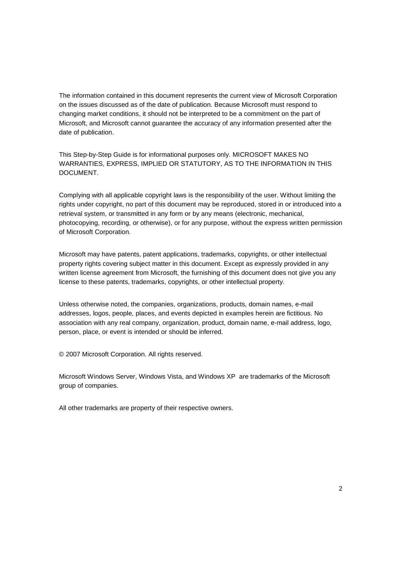The information contained in this document represents the current view of Microsoft Corporation on the issues discussed as of the date of publication. Because Microsoft must respond to changing market conditions, it should not be interpreted to be a commitment on the part of Microsoft, and Microsoft cannot guarantee the accuracy of any information presented after the date of publication.

This Step-by-Step Guide is for informational purposes only. MICROSOFT MAKES NO WARRANTIES, EXPRESS, IMPLIED OR STATUTORY, AS TO THE INFORMATION IN THIS DOCUMENT.

Complying with all applicable copyright laws is the responsibility of the user. Without limiting the rights under copyright, no part of this document may be reproduced, stored in or introduced into a retrieval system, or transmitted in any form or by any means (electronic, mechanical, photocopying, recording, or otherwise), or for any purpose, without the express written permission of Microsoft Corporation.

Microsoft may have patents, patent applications, trademarks, copyrights, or other intellectual property rights covering subject matter in this document. Except as expressly provided in any written license agreement from Microsoft, the furnishing of this document does not give you any license to these patents, trademarks, copyrights, or other intellectual property.

Unless otherwise noted, the companies, organizations, products, domain names, e-mail addresses, logos, people, places, and events depicted in examples herein are fictitious. No association with any real company, organization, product, domain name, e-mail address, logo, person, place, or event is intended or should be inferred.

© 2007 Microsoft Corporation. All rights reserved.

Microsoft Windows Server, Windows Vista, and Windows XP are trademarks of the Microsoft group of companies.

All other trademarks are property of their respective owners.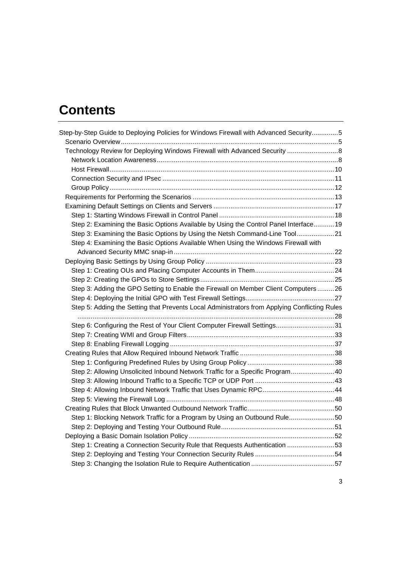# **Contents**

| Step-by-Step Guide to Deploying Policies for Windows Firewall with Advanced Security5         |  |
|-----------------------------------------------------------------------------------------------|--|
|                                                                                               |  |
| Technology Review for Deploying Windows Firewall with Advanced Security  8                    |  |
|                                                                                               |  |
|                                                                                               |  |
|                                                                                               |  |
|                                                                                               |  |
|                                                                                               |  |
|                                                                                               |  |
|                                                                                               |  |
| Step 2: Examining the Basic Options Available by Using the Control Panel Interface 19         |  |
| Step 3: Examining the Basic Options by Using the Netsh Command-Line Tool21                    |  |
| Step 4: Examining the Basic Options Available When Using the Windows Firewall with            |  |
|                                                                                               |  |
|                                                                                               |  |
|                                                                                               |  |
|                                                                                               |  |
| Step 3: Adding the GPO Setting to Enable the Firewall on Member Client Computers26            |  |
|                                                                                               |  |
| Step 5: Adding the Setting that Prevents Local Administrators from Applying Conflicting Rules |  |
|                                                                                               |  |
| Step 6: Configuring the Rest of Your Client Computer Firewall Settings31                      |  |
|                                                                                               |  |
|                                                                                               |  |
|                                                                                               |  |
|                                                                                               |  |
| Step 2: Allowing Unsolicited Inbound Network Traffic for a Specific Program40                 |  |
|                                                                                               |  |
| Step 4: Allowing Inbound Network Traffic that Uses Dynamic RPC44                              |  |
|                                                                                               |  |
|                                                                                               |  |
| Step 1: Blocking Network Traffic for a Program by Using an Outbound Rule50                    |  |
|                                                                                               |  |
|                                                                                               |  |
| Step 1: Creating a Connection Security Rule that Requests Authentication 53                   |  |
|                                                                                               |  |
|                                                                                               |  |
|                                                                                               |  |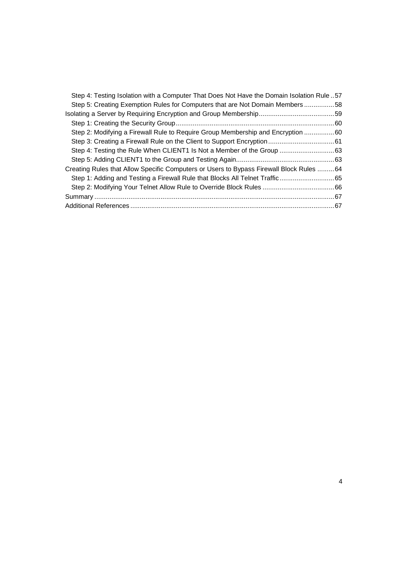| Step 4: Testing Isolation with a Computer That Does Not Have the Domain Isolation Rule 57 |  |
|-------------------------------------------------------------------------------------------|--|
| Step 5: Creating Exemption Rules for Computers that are Not Domain Members 58             |  |
|                                                                                           |  |
|                                                                                           |  |
| Step 2: Modifying a Firewall Rule to Require Group Membership and Encryption 60           |  |
|                                                                                           |  |
|                                                                                           |  |
|                                                                                           |  |
| Creating Rules that Allow Specific Computers or Users to Bypass Firewall Block Rules  64  |  |
|                                                                                           |  |
|                                                                                           |  |
|                                                                                           |  |
|                                                                                           |  |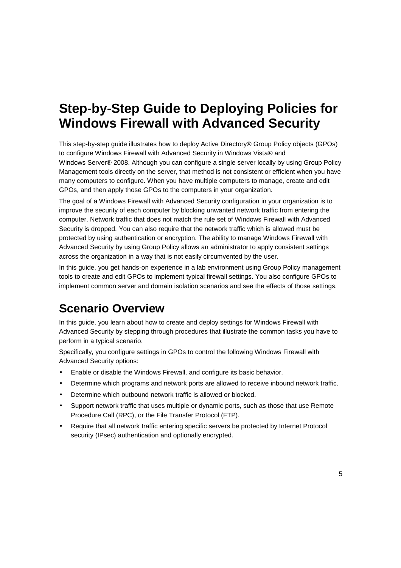# **Step-by-Step Guide to Deploying Policies for Windows Firewall with Advanced Security**

This step-by-step guide illustrates how to deploy Active Directory® Group Policy objects (GPOs) to configure Windows Firewall with Advanced Security in Windows Vista® and Windows Server® 2008. Although you can configure a single server locally by using Group Policy Management tools directly on the server, that method is not consistent or efficient when you have many computers to configure. When you have multiple computers to manage, create and edit GPOs, and then apply those GPOs to the computers in your organization.

The goal of a Windows Firewall with Advanced Security configuration in your organization is to improve the security of each computer by blocking unwanted network traffic from entering the computer. Network traffic that does not match the rule set of Windows Firewall with Advanced Security is dropped. You can also require that the network traffic which is allowed must be protected by using authentication or encryption. The ability to manage Windows Firewall with Advanced Security by using Group Policy allows an administrator to apply consistent settings across the organization in a way that is not easily circumvented by the user.

In this guide, you get hands-on experience in a lab environment using Group Policy management tools to create and edit GPOs to implement typical firewall settings. You also configure GPOs to implement common server and domain isolation scenarios and see the effects of those settings.

# **Scenario Overview**

In this guide, you learn about how to create and deploy settings for Windows Firewall with Advanced Security by stepping through procedures that illustrate the common tasks you have to perform in a typical scenario.

Specifically, you configure settings in GPOs to control the following Windows Firewall with Advanced Security options:

- Enable or disable the Windows Firewall, and configure its basic behavior.
- Determine which programs and network ports are allowed to receive inbound network traffic.
- Determine which outbound network traffic is allowed or blocked.
- Support network traffic that uses multiple or dynamic ports, such as those that use Remote Procedure Call (RPC), or the File Transfer Protocol (FTP).
- Require that all network traffic entering specific servers be protected by Internet Protocol security (IPsec) authentication and optionally encrypted.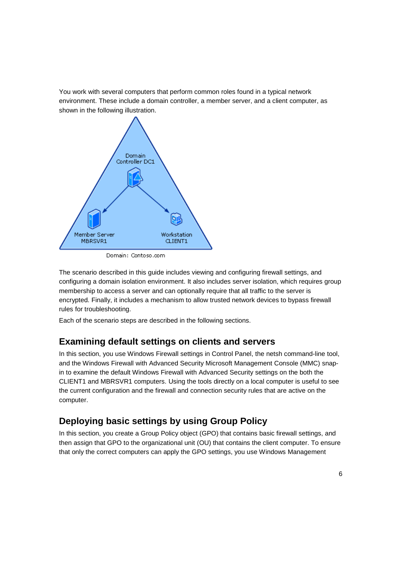You work with several computers that perform common roles found in a typical network environment. These include a domain controller, a member server, and a client computer, as shown in the following illustration.



Domain: Contoso.com

The scenario described in this guide includes viewing and configuring firewall settings, and configuring a domain isolation environment. It also includes server isolation, which requires group membership to access a server and can optionally require that all traffic to the server is encrypted. Finally, it includes a mechanism to allow trusted network devices to bypass firewall rules for troubleshooting.

Each of the scenario steps are described in the following sections.

## **Examining default settings on clients and servers**

In this section, you use Windows Firewall settings in Control Panel, the netsh command-line tool, and the Windows Firewall with Advanced Security Microsoft Management Console (MMC) snapin to examine the default Windows Firewall with Advanced Security settings on the both the CLIENT1 and MBRSVR1 computers. Using the tools directly on a local computer is useful to see the current configuration and the firewall and connection security rules that are active on the computer.

# **Deploying basic settings by using Group Policy**

In this section, you create a Group Policy object (GPO) that contains basic firewall settings, and then assign that GPO to the organizational unit (OU) that contains the client computer. To ensure that only the correct computers can apply the GPO settings, you use Windows Management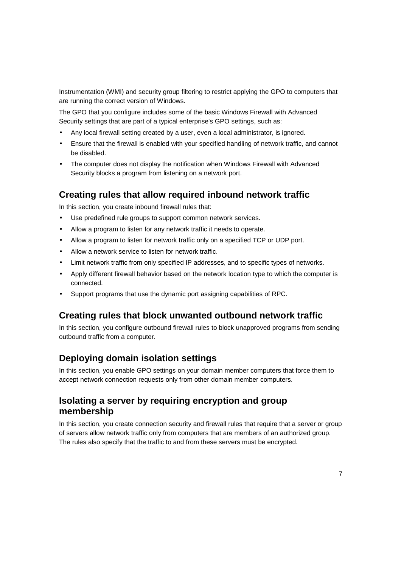Instrumentation (WMI) and security group filtering to restrict applying the GPO to computers that are running the correct version of Windows.

The GPO that you configure includes some of the basic Windows Firewall with Advanced Security settings that are part of a typical enterprise's GPO settings, such as:

- Any local firewall setting created by a user, even a local administrator, is ignored.
- Ensure that the firewall is enabled with your specified handling of network traffic, and cannot be disabled.
- The computer does not display the notification when Windows Firewall with Advanced Security blocks a program from listening on a network port.

## **Creating rules that allow required inbound network traffic**

In this section, you create inbound firewall rules that:

- Use predefined rule groups to support common network services.
- Allow a program to listen for any network traffic it needs to operate.
- Allow a program to listen for network traffic only on a specified TCP or UDP port.
- Allow a network service to listen for network traffic.
- Limit network traffic from only specified IP addresses, and to specific types of networks.
- Apply different firewall behavior based on the network location type to which the computer is connected.
- Support programs that use the dynamic port assigning capabilities of RPC.

## **Creating rules that block unwanted outbound network traffic**

In this section, you configure outbound firewall rules to block unapproved programs from sending outbound traffic from a computer.

## **Deploying domain isolation settings**

In this section, you enable GPO settings on your domain member computers that force them to accept network connection requests only from other domain member computers.

# **Isolating a server by requiring encryption and group membership**

In this section, you create connection security and firewall rules that require that a server or group of servers allow network traffic only from computers that are members of an authorized group. The rules also specify that the traffic to and from these servers must be encrypted.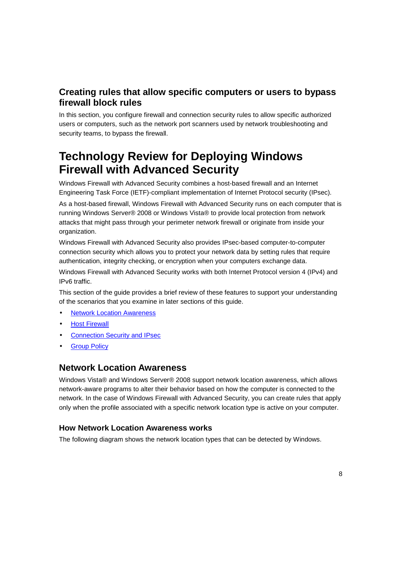# **Creating rules that allow specific computers or users to bypass firewall block rules**

In this section, you configure firewall and connection security rules to allow specific authorized users or computers, such as the network port scanners used by network troubleshooting and security teams, to bypass the firewall.

# **Technology Review for Deploying Windows Firewall with Advanced Security**

Windows Firewall with Advanced Security combines a host-based firewall and an Internet Engineering Task Force (IETF)-compliant implementation of Internet Protocol security (IPsec).

As a host-based firewall, Windows Firewall with Advanced Security runs on each computer that is running Windows Server® 2008 or Windows Vista® to provide local protection from network attacks that might pass through your perimeter network firewall or originate from inside your organization.

Windows Firewall with Advanced Security also provides IPsec-based computer-to-computer connection security which allows you to protect your network data by setting rules that require authentication, integrity checking, or encryption when your computers exchange data.

Windows Firewall with Advanced Security works with both Internet Protocol version 4 (IPv4) and IPv6 traffic.

This section of the guide provides a brief review of these features to support your understanding of the scenarios that you examine in later sections of this guide.

- **Network Location Awareness**
- Host Firewall
- **Connection Security and IPsec**
- **Group Policy**

#### **Network Location Awareness**

Windows Vista® and Windows Server® 2008 support network location awareness, which allows network-aware programs to alter their behavior based on how the computer is connected to the network. In the case of Windows Firewall with Advanced Security, you can create rules that apply only when the profile associated with a specific network location type is active on your computer.

#### **How Network Location Awareness works**

The following diagram shows the network location types that can be detected by Windows.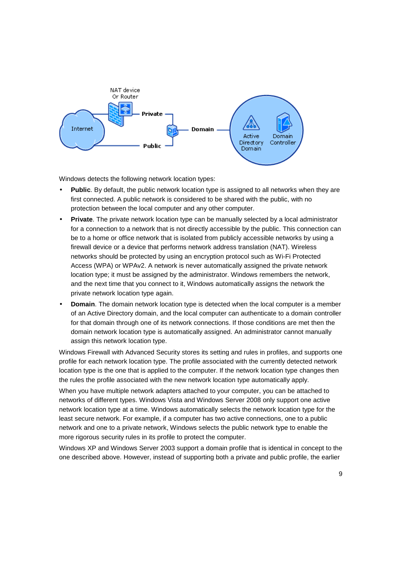

Windows detects the following network location types:

- **Public**. By default, the public network location type is assigned to all networks when they are first connected. A public network is considered to be shared with the public, with no protection between the local computer and any other computer.
- **Private**. The private network location type can be manually selected by a local administrator for a connection to a network that is not directly accessible by the public. This connection can be to a home or office network that is isolated from publicly accessible networks by using a firewall device or a device that performs network address translation (NAT). Wireless networks should be protected by using an encryption protocol such as Wi-Fi Protected Access (WPA) or WPAv2. A network is never automatically assigned the private network location type; it must be assigned by the administrator. Windows remembers the network, and the next time that you connect to it, Windows automatically assigns the network the private network location type again.
- **Domain**. The domain network location type is detected when the local computer is a member of an Active Directory domain, and the local computer can authenticate to a domain controller for that domain through one of its network connections. If those conditions are met then the domain network location type is automatically assigned. An administrator cannot manually assign this network location type.

Windows Firewall with Advanced Security stores its setting and rules in profiles, and supports one profile for each network location type. The profile associated with the currently detected network location type is the one that is applied to the computer. If the network location type changes then the rules the profile associated with the new network location type automatically apply.

When you have multiple network adapters attached to your computer, you can be attached to networks of different types. Windows Vista and Windows Server 2008 only support one active network location type at a time. Windows automatically selects the network location type for the least secure network. For example, if a computer has two active connections, one to a public network and one to a private network, Windows selects the public network type to enable the more rigorous security rules in its profile to protect the computer.

Windows XP and Windows Server 2003 support a domain profile that is identical in concept to the one described above. However, instead of supporting both a private and public profile, the earlier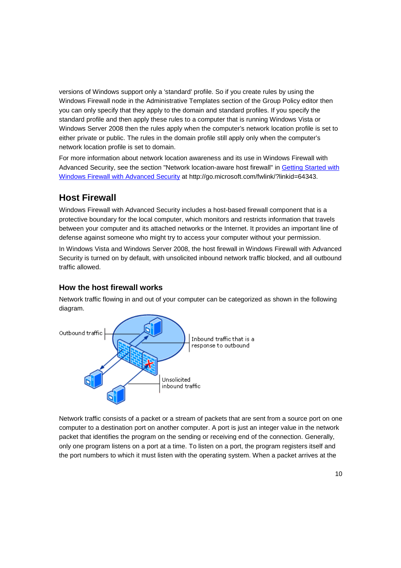versions of Windows support only a 'standard' profile. So if you create rules by using the Windows Firewall node in the Administrative Templates section of the Group Policy editor then you can only specify that they apply to the domain and standard profiles. If you specify the standard profile and then apply these rules to a computer that is running Windows Vista or Windows Server 2008 then the rules apply when the computer's network location profile is set to either private or public. The rules in the domain profile still apply only when the computer's network location profile is set to domain.

For more information about network location awareness and its use in Windows Firewall with Advanced Security, see the section "Network location-aware host firewall" in Getting Started with Windows Firewall with Advanced Security at http://go.microsoft.com/fwlink/?linkid=64343.

# **Host Firewall**

Windows Firewall with Advanced Security includes a host-based firewall component that is a protective boundary for the local computer, which monitors and restricts information that travels between your computer and its attached networks or the Internet. It provides an important line of defense against someone who might try to access your computer without your permission. In Windows Vista and Windows Server 2008, the host firewall in Windows Firewall with Advanced Security is turned on by default, with unsolicited inbound network traffic blocked, and all outbound traffic allowed.

### **How the host firewall works**

Network traffic flowing in and out of your computer can be categorized as shown in the following diagram.



Network traffic consists of a packet or a stream of packets that are sent from a source port on one computer to a destination port on another computer. A port is just an integer value in the network packet that identifies the program on the sending or receiving end of the connection. Generally, only one program listens on a port at a time. To listen on a port, the program registers itself and the port numbers to which it must listen with the operating system. When a packet arrives at the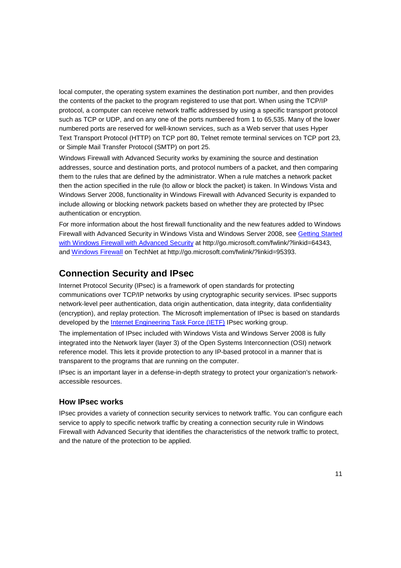local computer, the operating system examines the destination port number, and then provides the contents of the packet to the program registered to use that port. When using the TCP/IP protocol, a computer can receive network traffic addressed by using a specific transport protocol such as TCP or UDP, and on any one of the ports numbered from 1 to 65,535. Many of the lower numbered ports are reserved for well-known services, such as a Web server that uses Hyper Text Transport Protocol (HTTP) on TCP port 80, Telnet remote terminal services on TCP port 23, or Simple Mail Transfer Protocol (SMTP) on port 25.

Windows Firewall with Advanced Security works by examining the source and destination addresses, source and destination ports, and protocol numbers of a packet, and then comparing them to the rules that are defined by the administrator. When a rule matches a network packet then the action specified in the rule (to allow or block the packet) is taken. In Windows Vista and Windows Server 2008, functionality in Windows Firewall with Advanced Security is expanded to include allowing or blocking network packets based on whether they are protected by IPsec authentication or encryption.

For more information about the host firewall functionality and the new features added to Windows Firewall with Advanced Security in Windows Vista and Windows Server 2008, see Getting Started with Windows Firewall with Advanced Security at http://go.microsoft.com/fwlink/?linkid=64343, and Windows Firewall on TechNet at http://go.microsoft.com/fwlink/?linkid=95393.

### **Connection Security and IPsec**

Internet Protocol Security (IPsec) is a framework of open standards for protecting communications over TCP/IP networks by using cryptographic security services. IPsec supports network-level peer authentication, data origin authentication, data integrity, data confidentiality (encryption), and replay protection. The Microsoft implementation of IPsec is based on standards developed by the Internet Engineering Task Force (IETF) IPsec working group.

The implementation of IPsec included with Windows Vista and Windows Server 2008 is fully integrated into the Network layer (layer 3) of the Open Systems Interconnection (OSI) network reference model. This lets it provide protection to any IP-based protocol in a manner that is transparent to the programs that are running on the computer.

IPsec is an important layer in a defense-in-depth strategy to protect your organization's networkaccessible resources.

#### **How IPsec works**

IPsec provides a variety of connection security services to network traffic. You can configure each service to apply to specific network traffic by creating a connection security rule in Windows Firewall with Advanced Security that identifies the characteristics of the network traffic to protect, and the nature of the protection to be applied.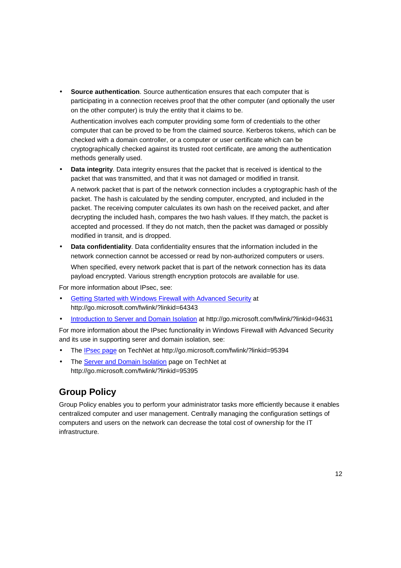• **Source authentication**. Source authentication ensures that each computer that is participating in a connection receives proof that the other computer (and optionally the user on the other computer) is truly the entity that it claims to be.

Authentication involves each computer providing some form of credentials to the other computer that can be proved to be from the claimed source. Kerberos tokens, which can be checked with a domain controller, or a computer or user certificate which can be cryptographically checked against its trusted root certificate, are among the authentication methods generally used.

- **Data integrity**. Data integrity ensures that the packet that is received is identical to the packet that was transmitted, and that it was not damaged or modified in transit. A network packet that is part of the network connection includes a cryptographic hash of the packet. The hash is calculated by the sending computer, encrypted, and included in the packet. The receiving computer calculates its own hash on the received packet, and after decrypting the included hash, compares the two hash values. If they match, the packet is accepted and processed. If they do not match, then the packet was damaged or possibly modified in transit, and is dropped.
- **Data confidentiality**. Data confidentiality ensures that the information included in the network connection cannot be accessed or read by non-authorized computers or users. When specified, every network packet that is part of the network connection has its data payload encrypted. Various strength encryption protocols are available for use.

For more information about IPsec, see:

- Getting Started with Windows Firewall with Advanced Security at http://go.microsoft.com/fwlink/?linkid=64343
- Introduction to Server and Domain Isolation at http://go.microsoft.com/fwlink/?linkid=94631

For more information about the IPsec functionality in Windows Firewall with Advanced Security and its use in supporting serer and domain isolation, see:

- The IPsec page on TechNet at http://go.microsoft.com/fwlink/?linkid=95394
- The Server and Domain Isolation page on TechNet at http://go.microsoft.com/fwlink/?linkid=95395

# **Group Policy**

Group Policy enables you to perform your administrator tasks more efficiently because it enables centralized computer and user management. Centrally managing the configuration settings of computers and users on the network can decrease the total cost of ownership for the IT infrastructure.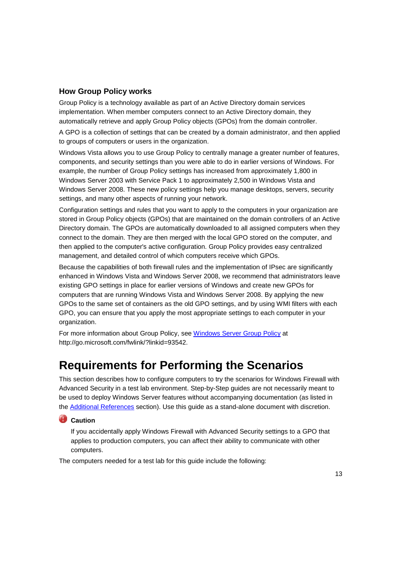#### **How Group Policy works**

Group Policy is a technology available as part of an Active Directory domain services implementation. When member computers connect to an Active Directory domain, they automatically retrieve and apply Group Policy objects (GPOs) from the domain controller.

A GPO is a collection of settings that can be created by a domain administrator, and then applied to groups of computers or users in the organization.

Windows Vista allows you to use Group Policy to centrally manage a greater number of features, components, and security settings than you were able to do in earlier versions of Windows. For example, the number of Group Policy settings has increased from approximately 1,800 in Windows Server 2003 with Service Pack 1 to approximately 2,500 in Windows Vista and Windows Server 2008. These new policy settings help you manage desktops, servers, security settings, and many other aspects of running your network.

Configuration settings and rules that you want to apply to the computers in your organization are stored in Group Policy objects (GPOs) that are maintained on the domain controllers of an Active Directory domain. The GPOs are automatically downloaded to all assigned computers when they connect to the domain. They are then merged with the local GPO stored on the computer, and then applied to the computer's active configuration. Group Policy provides easy centralized management, and detailed control of which computers receive which GPOs.

Because the capabilities of both firewall rules and the implementation of IPsec are significantly enhanced in Windows Vista and Windows Server 2008, we recommend that administrators leave existing GPO settings in place for earlier versions of Windows and create new GPOs for computers that are running Windows Vista and Windows Server 2008. By applying the new GPOs to the same set of containers as the old GPO settings, and by using WMI filters with each GPO, you can ensure that you apply the most appropriate settings to each computer in your organization.

For more information about Group Policy, see Windows Server Group Policy at http://go.microsoft.com/fwlink/?linkid=93542.

# **Requirements for Performing the Scenarios**

This section describes how to configure computers to try the scenarios for Windows Firewall with Advanced Security in a test lab environment. Step-by-Step guides are not necessarily meant to be used to deploy Windows Server features without accompanying documentation (as listed in the Additional References section). Use this guide as a stand-alone document with discretion.

#### **Caution**

If you accidentally apply Windows Firewall with Advanced Security settings to a GPO that applies to production computers, you can affect their ability to communicate with other computers.

The computers needed for a test lab for this guide include the following: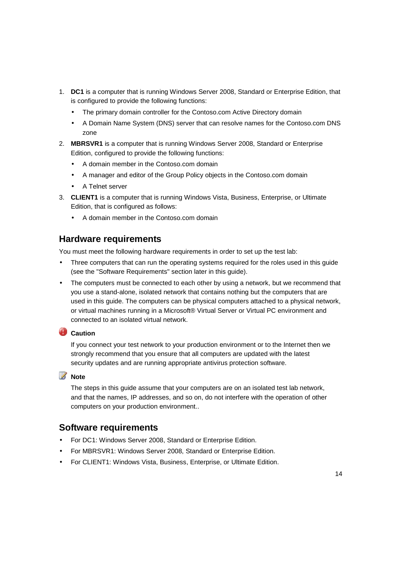- 1. **DC1** is a computer that is running Windows Server 2008, Standard or Enterprise Edition, that is configured to provide the following functions:
	- The primary domain controller for the Contoso.com Active Directory domain
	- A Domain Name System (DNS) server that can resolve names for the Contoso.com DNS zone
- 2. **MBRSVR1** is a computer that is running Windows Server 2008, Standard or Enterprise Edition, configured to provide the following functions:
	- A domain member in the Contoso.com domain
	- A manager and editor of the Group Policy objects in the Contoso.com domain
	- A Telnet server
- 3. **CLIENT1** is a computer that is running Windows Vista, Business, Enterprise, or Ultimate Edition, that is configured as follows:
	- A domain member in the Contoso.com domain

### **Hardware requirements**

You must meet the following hardware requirements in order to set up the test lab:

- Three computers that can run the operating systems required for the roles used in this guide (see the "Software Requirements" section later in this guide).
- The computers must be connected to each other by using a network, but we recommend that you use a stand-alone, isolated network that contains nothing but the computers that are used in this guide. The computers can be physical computers attached to a physical network, or virtual machines running in a Microsoft® Virtual Server or Virtual PC environment and connected to an isolated virtual network.

### **Caution**

If you connect your test network to your production environment or to the Internet then we strongly recommend that you ensure that all computers are updated with the latest security updates and are running appropriate antivirus protection software.

### **Z** Note

The steps in this guide assume that your computers are on an isolated test lab network, and that the names, IP addresses, and so on, do not interfere with the operation of other computers on your production environment..

### **Software requirements**

- For DC1: Windows Server 2008, Standard or Enterprise Edition.
- For MBRSVR1: Windows Server 2008, Standard or Enterprise Edition.
- For CLIENT1: Windows Vista, Business, Enterprise, or Ultimate Edition.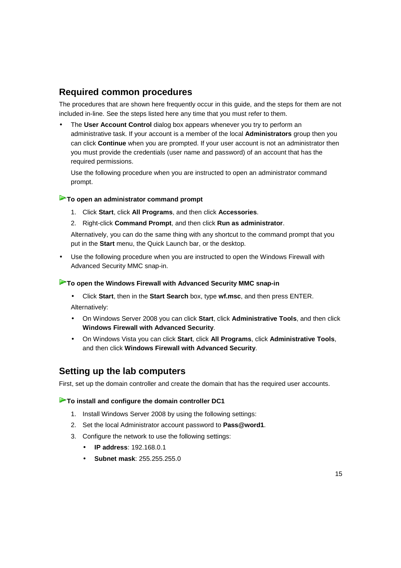# **Required common procedures**

The procedures that are shown here frequently occur in this guide, and the steps for them are not included in-line. See the steps listed here any time that you must refer to them.

• The **User Account Control** dialog box appears whenever you try to perform an administrative task. If your account is a member of the local **Administrators** group then you can click **Continue** when you are prompted. If your user account is not an administrator then you must provide the credentials (user name and password) of an account that has the required permissions.

Use the following procedure when you are instructed to open an administrator command prompt.

#### **To open an administrator command prompt**

- 1. Click **Start**, click **All Programs**, and then click **Accessories**.
- 2. Right-click **Command Prompt**, and then click **Run as administrator**.

Alternatively, you can do the same thing with any shortcut to the command prompt that you put in the **Start** menu, the Quick Launch bar, or the desktop.

• Use the following procedure when you are instructed to open the Windows Firewall with Advanced Security MMC snap-in.

#### **To open the Windows Firewall with Advanced Security MMC snap-in**

- Click **Start**, then in the **Start Search** box, type **wf.msc**, and then press ENTER. Alternatively:
- On Windows Server 2008 you can click **Start**, click **Administrative Tools**, and then click **Windows Firewall with Advanced Security**.
- On Windows Vista you can click **Start**, click **All Programs**, click **Administrative Tools**, and then click **Windows Firewall with Advanced Security**.

### **Setting up the lab computers**

First, set up the domain controller and create the domain that has the required user accounts.

#### **To install and configure the domain controller DC1**

- 1. Install Windows Server 2008 by using the following settings:
- 2. Set the local Administrator account password to **Pass@word1**.
- 3. Configure the network to use the following settings:
	- **IP address**: 192.168.0.1
	- **Subnet mask**: 255.255.255.0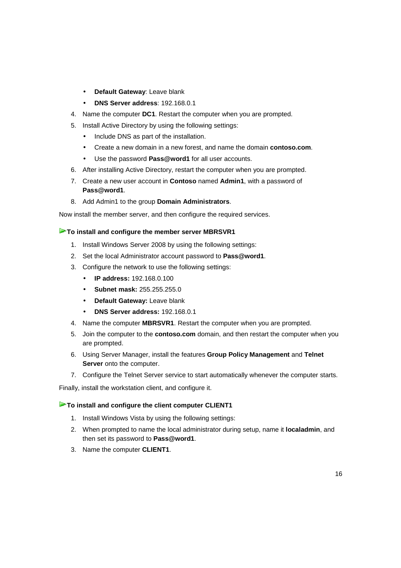- **Default Gateway**: Leave blank
- **DNS Server address**: 192.168.0.1
- 4. Name the computer **DC1**. Restart the computer when you are prompted.
- 5. Install Active Directory by using the following settings:
	- Include DNS as part of the installation.
	- Create a new domain in a new forest, and name the domain **contoso.com**.
	- Use the password **Pass@word1** for all user accounts.
- 6. After installing Active Directory, restart the computer when you are prompted.
- 7. Create a new user account in **Contoso** named **Admin1**, with a password of **Pass@word1**.
- 8. Add Admin1 to the group **Domain Administrators**.

Now install the member server, and then configure the required services.

#### **To install and configure the member server MBRSVR1**

- 1. Install Windows Server 2008 by using the following settings:
- 2. Set the local Administrator account password to **Pass@word1**.
- 3. Configure the network to use the following settings:
	- **IP address:** 192.168.0.100
	- **Subnet mask:** 255.255.255.0
	- **Default Gateway:** Leave blank
	- **DNS Server address:** 192.168.0.1
- 4. Name the computer **MBRSVR1**. Restart the computer when you are prompted.
- 5. Join the computer to the **contoso.com** domain, and then restart the computer when you are prompted.
- 6. Using Server Manager, install the features **Group Policy Management** and **Telnet Server** onto the computer.
- 7. Configure the Telnet Server service to start automatically whenever the computer starts.

Finally, install the workstation client, and configure it.

#### **To install and configure the client computer CLIENT1**

- 1. Install Windows Vista by using the following settings:
- 2. When prompted to name the local administrator during setup, name it **localadmin**, and then set its password to **Pass@word1**.
- 3. Name the computer **CLIENT1**.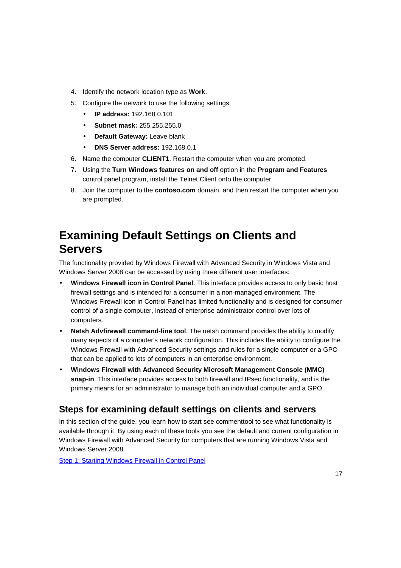- 4. Identify the network location type as **Work**.
- 5. Configure the network to use the following settings:
	- **IP address:** 192.168.0.101
	- **Subnet mask:** 255.255.255.0
	- **Default Gateway:** Leave blank
	- **DNS Server address:** 192.168.0.1
- 6. Name the computer **CLIENT1**. Restart the computer when you are prompted.
- 7. Using the **Turn Windows features on and off** option in the **Program and Features** control panel program, install the Telnet Client onto the computer.
- 8. Join the computer to the **contoso.com** domain, and then restart the computer when you are prompted.

# **Examining Default Settings on Clients and Servers**

The functionality provided by Windows Firewall with Advanced Security in Windows Vista and Windows Server 2008 can be accessed by using three different user interfaces:

- **Windows Firewall icon in Control Panel**. This interface provides access to only basic host firewall settings and is intended for a consumer in a non-managed environment. The Windows Firewall icon in Control Panel has limited functionality and is designed for consumer control of a single computer, instead of enterprise administrator control over lots of computers.
- **Netsh Advfirewall command-line tool**. The netsh command provides the ability to modify many aspects of a computer's network configuration. This includes the ability to configure the Windows Firewall with Advanced Security settings and rules for a single computer or a GPO that can be applied to lots of computers in an enterprise environment.
- **Windows Firewall with Advanced Security Microsoft Management Console (MMC) snap-in**. This interface provides access to both firewall and IPsec functionality, and is the primary means for an administrator to manage both an individual computer and a GPO.

# **Steps for examining default settings on clients and servers**

In this section of the guide, you learn how to start see commenttool to see what functionality is available through it. By using each of these tools you see the default and current configuration in Windows Firewall with Advanced Security for computers that are running Windows Vista and Windows Server 2008.

Step 1: Starting Windows Firewall in Control Panel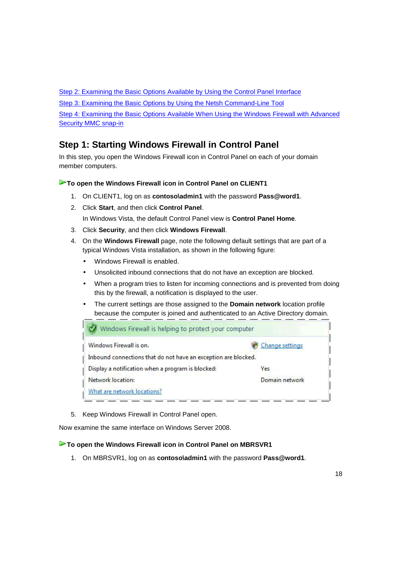Step 2: Examining the Basic Options Available by Using the Control Panel Interface

Step 3: Examining the Basic Options by Using the Netsh Command-Line Tool

Step 4: Examining the Basic Options Available When Using the Windows Firewall with Advanced Security MMC snap-in

# **Step 1: Starting Windows Firewall in Control Panel**

In this step, you open the Windows Firewall icon in Control Panel on each of your domain member computers.

#### **To open the Windows Firewall icon in Control Panel on CLIENT1**

- 1. On CLIENT1, log on as **contoso\admin1** with the password **Pass@word1**.
- 2. Click **Start**, and then click **Control Panel**.

In Windows Vista, the default Control Panel view is **Control Panel Home**.

- 3. Click **Security**, and then click **Windows Firewall**.
- 4. On the **Windows Firewall** page, note the following default settings that are part of a typical Windows Vista installation, as shown in the following figure:
	- Windows Firewall is enabled.
	- Unsolicited inbound connections that do not have an exception are blocked.
	- When a program tries to listen for incoming connections and is prevented from doing this by the firewall, a notification is displayed to the user.
	- The current settings are those assigned to the **Domain network** location profile because the computer is joined and authenticated to an Active Directory domain.

| Windows Firewall is helping to protect your computer           |                 |
|----------------------------------------------------------------|-----------------|
| Windows Firewall is on.                                        | Change settings |
| Inbound connections that do not have an exception are blocked. |                 |
| Display a notification when a program is blocked:              | Yes             |
| Network location:                                              | Domain network  |
| What are network locations?                                    |                 |

5. Keep Windows Firewall in Control Panel open.

Now examine the same interface on Windows Server 2008.

#### ▶To open the Windows Firewall icon in Control Panel on MBRSVR1

1. On MBRSVR1, log on as **contoso\admin1** with the password **Pass@word1**.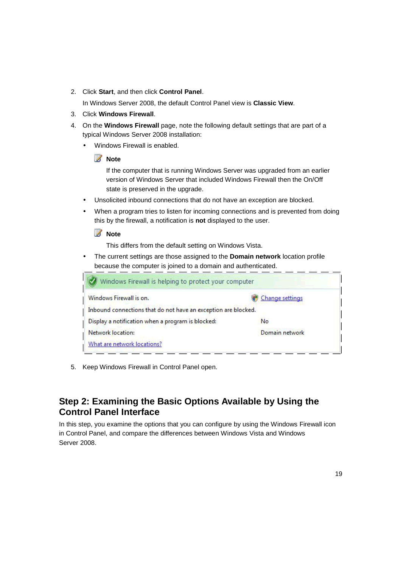2. Click **Start**, and then click **Control Panel**.

In Windows Server 2008, the default Control Panel view is **Classic View**.

- 3. Click **Windows Firewall**.
- 4. On the **Windows Firewall** page, note the following default settings that are part of a typical Windows Server 2008 installation:
	- Windows Firewall is enabled.

# **Z** Note

If the computer that is running Windows Server was upgraded from an earlier version of Windows Server that included Windows Firewall then the On/Off state is preserved in the upgrade.

- Unsolicited inbound connections that do not have an exception are blocked.
- When a program tries to listen for incoming connections and is prevented from doing this by the firewall, a notification is **not** displayed to the user.

#### **Z** Note

This differs from the default setting on Windows Vista.

• The current settings are those assigned to the **Domain network** location profile because the computer is joined to a domain and authenticated.

| Windows Firewall is helping to protect your computer           |                 |
|----------------------------------------------------------------|-----------------|
| Windows Firewall is on.                                        | Change settings |
| Inbound connections that do not have an exception are blocked. |                 |
| Display a notification when a program is blocked:              | No              |
| Network location:                                              | Domain network  |
| What are network locations?                                    |                 |

5. Keep Windows Firewall in Control Panel open.

# **Step 2: Examining the Basic Options Available by Using the Control Panel Interface**

In this step, you examine the options that you can configure by using the Windows Firewall icon in Control Panel, and compare the differences between Windows Vista and Windows Server 2008.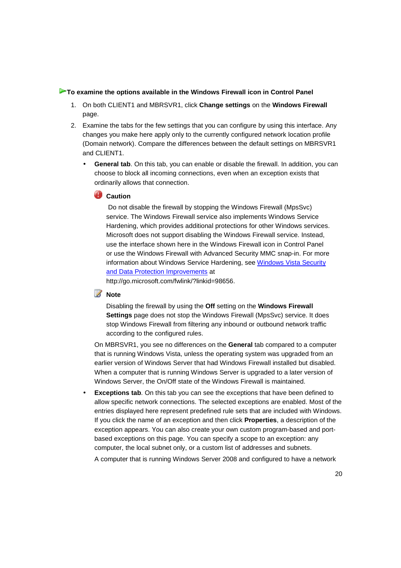#### **To examine the options available in the Windows Firewall icon in Control Panel**

- 1. On both CLIENT1 and MBRSVR1, click **Change settings** on the **Windows Firewall** page.
- 2. Examine the tabs for the few settings that you can configure by using this interface. Any changes you make here apply only to the currently configured network location profile (Domain network). Compare the differences between the default settings on MBRSVR1 and CLIENT1.
	- **General tab**. On this tab, you can enable or disable the firewall. In addition, you can choose to block all incoming connections, even when an exception exists that ordinarily allows that connection.

#### **Caution**

 Do not disable the firewall by stopping the Windows Firewall (MpsSvc) service. The Windows Firewall service also implements Windows Service Hardening, which provides additional protections for other Windows services. Microsoft does not support disabling the Windows Firewall service. Instead, use the interface shown here in the Windows Firewall icon in Control Panel or use the Windows Firewall with Advanced Security MMC snap-in. For more information about Windows Service Hardening, see Windows Vista Security and Data Protection Improvements at

http://go.microsoft.com/fwlink/?linkid=98656.

#### **Z** Note

Disabling the firewall by using the **Off** setting on the **Windows Firewall Settings** page does not stop the Windows Firewall (MpsSvc) service. It does stop Windows Firewall from filtering any inbound or outbound network traffic according to the configured rules.

On MBRSVR1, you see no differences on the **General** tab compared to a computer that is running Windows Vista, unless the operating system was upgraded from an earlier version of Windows Server that had Windows Firewall installed but disabled. When a computer that is running Windows Server is upgraded to a later version of Windows Server, the On/Off state of the Windows Firewall is maintained.

**Exceptions tab**. On this tab you can see the exceptions that have been defined to allow specific network connections. The selected exceptions are enabled. Most of the entries displayed here represent predefined rule sets that are included with Windows. If you click the name of an exception and then click **Properties**, a description of the exception appears. You can also create your own custom program-based and portbased exceptions on this page. You can specify a scope to an exception: any computer, the local subnet only, or a custom list of addresses and subnets.

A computer that is running Windows Server 2008 and configured to have a network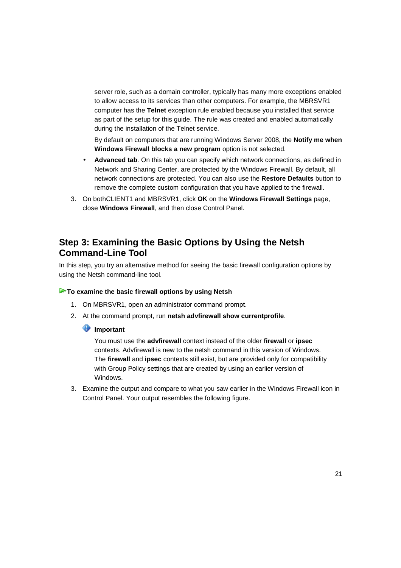server role, such as a domain controller, typically has many more exceptions enabled to allow access to its services than other computers. For example, the MBRSVR1 computer has the **Telnet** exception rule enabled because you installed that service as part of the setup for this guide. The rule was created and enabled automatically during the installation of the Telnet service.

By default on computers that are running Windows Server 2008, the **Notify me when Windows Firewall blocks a new program** option is not selected.

- **Advanced tab**. On this tab you can specify which network connections, as defined in Network and Sharing Center, are protected by the Windows Firewall. By default, all network connections are protected. You can also use the **Restore Defaults** button to remove the complete custom configuration that you have applied to the firewall.
- 3. On bothCLIENT1 and MBRSVR1, click **OK** on the **Windows Firewall Settings** page, close **Windows Firewall**, and then close Control Panel.

# **Step 3: Examining the Basic Options by Using the Netsh Command-Line Tool**

In this step, you try an alternative method for seeing the basic firewall configuration options by using the Netsh command-line tool.

#### **To examine the basic firewall options by using Netsh**

- 1. On MBRSVR1, open an administrator command prompt.
- 2. At the command prompt, run **netsh advfirewall show currentprofile**.

#### **Important**

You must use the **advfirewall** context instead of the older **firewall** or **ipsec** contexts. Advfirewall is new to the netsh command in this version of Windows. The **firewall** and **ipsec** contexts still exist, but are provided only for compatibility with Group Policy settings that are created by using an earlier version of Windows.

3. Examine the output and compare to what you saw earlier in the Windows Firewall icon in Control Panel. Your output resembles the following figure.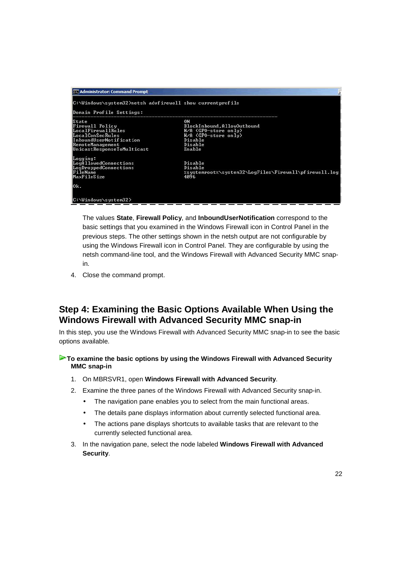| <b>ex Administrator: Command Prompt</b>                                                                                                                |                                                                                                                   |
|--------------------------------------------------------------------------------------------------------------------------------------------------------|-------------------------------------------------------------------------------------------------------------------|
| C:\Windows\system32>netsh advfirewall show currentprofile<br>Domain Profile Settings:                                                                  |                                                                                                                   |
| State<br><b>Firewall Policy</b><br>LocalFirewallRules<br>LocalConSecRules<br>InboundUserNotification<br>RemoteManagement<br>UnicastResponseToMulticast | ON<br>BlockInbound, AllowOutbound<br>N/A (GPO-store only)<br>N/A (GPO-store only)<br>Disable<br>Disable<br>Enable |
| Logging:<br>LogAllowedConnections<br>LogDroppedConnections<br>FileName<br>MaxFileSize                                                                  | Disable<br>Disable<br>4096                                                                                        |
| Ok.                                                                                                                                                    |                                                                                                                   |
| C:\Windows\system32>                                                                                                                                   |                                                                                                                   |

The values **State**, **Firewall Policy**, and **InboundUserNotification** correspond to the basic settings that you examined in the Windows Firewall icon in Control Panel in the previous steps. The other settings shown in the netsh output are not configurable by using the Windows Firewall icon in Control Panel. They are configurable by using the netsh command-line tool, and the Windows Firewall with Advanced Security MMC snapin.

4. Close the command prompt.

# **Step 4: Examining the Basic Options Available When Using the Windows Firewall with Advanced Security MMC snap-in**

In this step, you use the Windows Firewall with Advanced Security MMC snap-in to see the basic options available.

#### **To examine the basic options by using the Windows Firewall with Advanced Security MMC snap-in**

- 1. On MBRSVR1, open **Windows Firewall with Advanced Security**.
- 2. Examine the three panes of the Windows Firewall with Advanced Security snap-in.
	- The navigation pane enables you to select from the main functional areas.
	- The details pane displays information about currently selected functional area.
	- The actions pane displays shortcuts to available tasks that are relevant to the currently selected functional area.
- 3. In the navigation pane, select the node labeled **Windows Firewall with Advanced Security**.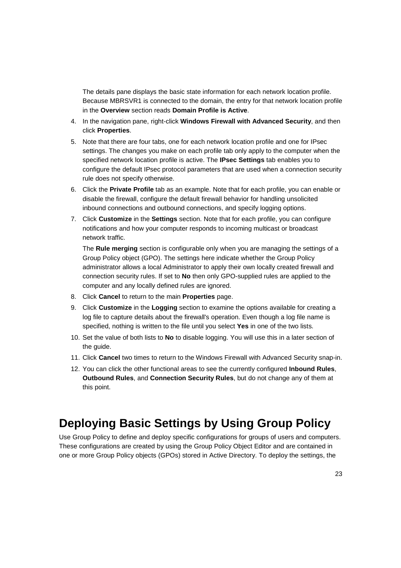The details pane displays the basic state information for each network location profile. Because MBRSVR1 is connected to the domain, the entry for that network location profile in the **Overview** section reads **Domain Profile is Active**.

- 4. In the navigation pane, right-click **Windows Firewall with Advanced Security**, and then click **Properties**.
- 5. Note that there are four tabs, one for each network location profile and one for IPsec settings. The changes you make on each profile tab only apply to the computer when the specified network location profile is active. The **IPsec Settings** tab enables you to configure the default IPsec protocol parameters that are used when a connection security rule does not specify otherwise.
- 6. Click the **Private Profile** tab as an example. Note that for each profile, you can enable or disable the firewall, configure the default firewall behavior for handling unsolicited inbound connections and outbound connections, and specify logging options.
- 7. Click **Customize** in the **Settings** section. Note that for each profile, you can configure notifications and how your computer responds to incoming multicast or broadcast network traffic.

The **Rule merging** section is configurable only when you are managing the settings of a Group Policy object (GPO). The settings here indicate whether the Group Policy administrator allows a local Administrator to apply their own locally created firewall and connection security rules. If set to **No** then only GPO-supplied rules are applied to the computer and any locally defined rules are ignored.

- 8. Click **Cancel** to return to the main **Properties** page.
- 9. Click **Customize** in the **Logging** section to examine the options available for creating a log file to capture details about the firewall's operation. Even though a log file name is specified, nothing is written to the file until you select **Yes** in one of the two lists.
- 10. Set the value of both lists to **No** to disable logging. You will use this in a later section of the guide.
- 11. Click **Cancel** two times to return to the Windows Firewall with Advanced Security snap-in.
- 12. You can click the other functional areas to see the currently configured **Inbound Rules**, **Outbound Rules**, and **Connection Security Rules**, but do not change any of them at this point.

# **Deploying Basic Settings by Using Group Policy**

Use Group Policy to define and deploy specific configurations for groups of users and computers. These configurations are created by using the Group Policy Object Editor and are contained in one or more Group Policy objects (GPOs) stored in Active Directory. To deploy the settings, the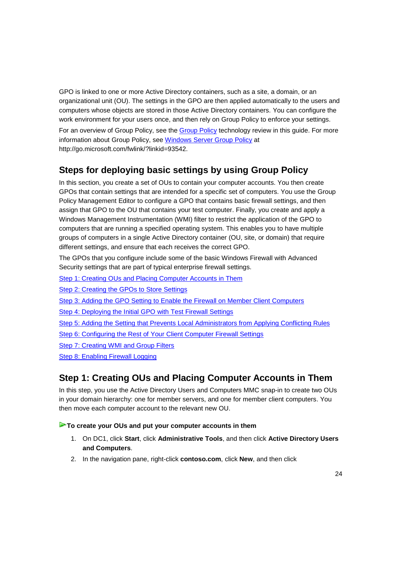GPO is linked to one or more Active Directory containers, such as a site, a domain, or an organizational unit (OU). The settings in the GPO are then applied automatically to the users and computers whose objects are stored in those Active Directory containers. You can configure the work environment for your users once, and then rely on Group Policy to enforce your settings.

For an overview of Group Policy, see the Group Policy technology review in this guide. For more information about Group Policy, see Windows Server Group Policy at http://go.microsoft.com/fwlink/?linkid=93542.

# **Steps for deploying basic settings by using Group Policy**

In this section, you create a set of OUs to contain your computer accounts. You then create GPOs that contain settings that are intended for a specific set of computers. You use the Group Policy Management Editor to configure a GPO that contains basic firewall settings, and then assign that GPO to the OU that contains your test computer. Finally, you create and apply a Windows Management Instrumentation (WMI) filter to restrict the application of the GPO to computers that are running a specified operating system. This enables you to have multiple groups of computers in a single Active Directory container (OU, site, or domain) that require different settings, and ensure that each receives the correct GPO.

The GPOs that you configure include some of the basic Windows Firewall with Advanced Security settings that are part of typical enterprise firewall settings.

Step 1: Creating OUs and Placing Computer Accounts in Them

Step 2: Creating the GPOs to Store Settings

Step 3: Adding the GPO Setting to Enable the Firewall on Member Client Computers

Step 4: Deploying the Initial GPO with Test Firewall Settings

Step 5: Adding the Setting that Prevents Local Administrators from Applying Conflicting Rules

Step 6: Configuring the Rest of Your Client Computer Firewall Settings

Step 7: Creating WMI and Group Filters

Step 8: Enabling Firewall Logging

# **Step 1: Creating OUs and Placing Computer Accounts in Them**

In this step, you use the Active Directory Users and Computers MMC snap-in to create two OUs in your domain hierarchy: one for member servers, and one for member client computers. You then move each computer account to the relevant new OU.

#### **To create your OUs and put your computer accounts in them**

- 1. On DC1, click **Start**, click **Administrative Tools**, and then click **Active Directory Users and Computers**.
- 2. In the navigation pane, right-click **contoso.com**, click **New**, and then click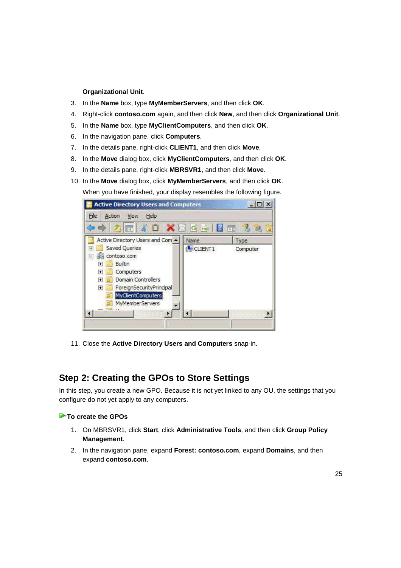#### **Organizational Unit**.

- 3. In the **Name** box, type **MyMemberServers**, and then click **OK**.
- 4. Right-click **contoso.com** again, and then click **New**, and then click **Organizational Unit**.
- 5. In the **Name** box, type **MyClientComputers**, and then click **OK**.
- 6. In the navigation pane, click **Computers**.
- 7. In the details pane, right-click **CLIENT1**, and then click **Move**.
- 8. In the **Move** dialog box, click **MyClientComputers**, and then click **OK**.
- 9. In the details pane, right-click **MBRSVR1**, and then click **Move**.
- 10. In the **Move** dialog box, click **MyMemberServers**, and then click **OK**. When you have finished, your display resembles the following figure.



11. Close the **Active Directory Users and Computers** snap-in.

# **Step 2: Creating the GPOs to Store Settings**

In this step, you create a new GPO. Because it is not yet linked to any OU, the settings that you configure do not yet apply to any computers.

#### **To create the GPOs**

- 1. On MBRSVR1, click **Start**, click **Administrative Tools**, and then click **Group Policy Management**.
- 2. In the navigation pane, expand **Forest: contoso.com**, expand **Domains**, and then expand **contoso.com**.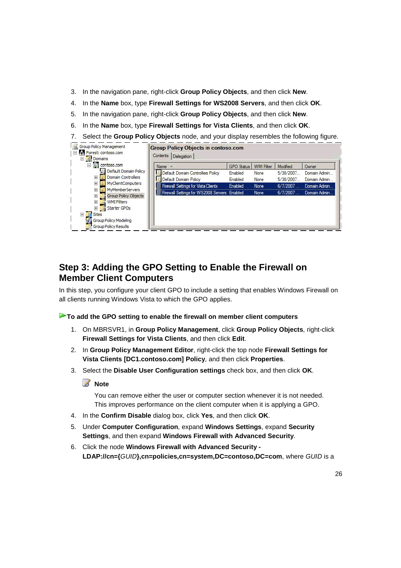- 3. In the navigation pane, right-click **Group Policy Objects**, and then click **New**.
- 4. In the **Name** box, type **Firewall Settings for WS2008 Servers**, and then click **OK**.
- 5. In the navigation pane, right-click **Group Policy Objects**, and then click **New**.
- 6. In the **Name** box, type **Firewall Settings for Vista Clients**, and then click **OK**.
- 7. Select the **Group Policy Objects** node, and your display resembles the following figure.

| Domains<br>contoso.com<br>$\Box$                                                                                                                                                                                                                                | Name                                                                                                                                              | GPO Status                    | <b>WMI Filter</b>            | Modified                                       | Owner                                                         |
|-----------------------------------------------------------------------------------------------------------------------------------------------------------------------------------------------------------------------------------------------------------------|---------------------------------------------------------------------------------------------------------------------------------------------------|-------------------------------|------------------------------|------------------------------------------------|---------------------------------------------------------------|
| Default Domain Policy<br>事<br>Domain Controllers<br>$\overline{+}$<br><b>MyClientComputers</b><br>$\overline{+}$<br><b>MyMemberServers</b><br>$\overline{+}$<br><b>Group Policy Objects</b><br>$\overline{+}$<br>鳫<br><b>WMI Filters</b><br>$\overline{+}$<br>e | Default Domain Controllers Policy<br>Default Domain Policy<br>Firewall Settings for Vista Clients<br>Firewall Settings for WS2008 Servers Enabled | Enabled<br>Enabled<br>Enabled | None<br>None<br>None<br>None | 5/30/2007<br>5/30/2007<br>6/7/2007<br>6/7/2007 | Domain Admin<br>Domain Admin.<br>Domain Admin<br>Domain Admin |

# **Step 3: Adding the GPO Setting to Enable the Firewall on Member Client Computers**

In this step, you configure your client GPO to include a setting that enables Windows Firewall on all clients running Windows Vista to which the GPO applies.

#### **To add the GPO setting to enable the firewall on member client computers**

- 1. On MBRSVR1, in **Group Policy Management**, click **Group Policy Objects**, right-click **Firewall Settings for Vista Clients**, and then click **Edit**.
- 2. In **Group Policy Management Editor**, right-click the top node **Firewall Settings for Vista Clients [DC1.contoso.com] Policy**, and then click **Properties**.
- 3. Select the **Disable User Configuration settings** check box, and then click **OK**.

### **Z** Note

You can remove either the user or computer section whenever it is not needed. This improves performance on the client computer when it is applying a GPO.

- 4. In the **Confirm Disable** dialog box, click **Yes**, and then click **OK**.
- 5. Under **Computer Configuration**, expand **Windows Settings**, expand **Security Settings**, and then expand **Windows Firewall with Advanced Security**.
- 6. Click the node **Windows Firewall with Advanced Security LDAP://cn={**GUID**},cn=policies,cn=system,DC=contoso,DC=com**, where GUID is a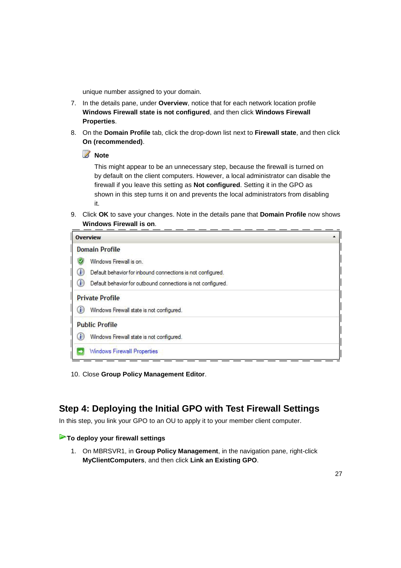unique number assigned to your domain.

- 7. In the details pane, under **Overview**, notice that for each network location profile **Windows Firewall state is not configured**, and then click **Windows Firewall Properties**.
- 8. On the **Domain Profile** tab, click the drop-down list next to **Firewall state**, and then click **On (recommended)**.

**Z** Note

This might appear to be an unnecessary step, because the firewall is turned on by default on the client computers. However, a local administrator can disable the firewall if you leave this setting as **Not configured**. Setting it in the GPO as shown in this step turns it on and prevents the local administrators from disabling it.

9. Click **OK** to save your changes. Note in the details pane that **Domain Profile** now shows **Windows Firewall is on**.

| <b>Overview</b>                                                   |  |
|-------------------------------------------------------------------|--|
| <b>Domain Profile</b>                                             |  |
| Windows Firewall is on                                            |  |
| a<br>Default behavior for inbound connections is not configured.  |  |
| O<br>Default behavior for outbound connections is not configured. |  |
| <b>Private Profile</b>                                            |  |
| $\bf(i)$<br>Windows Firewall state is not configured.             |  |
| <b>Public Profile</b>                                             |  |
| O<br>Windows Firewall state is not configured.                    |  |
| <b>Windows Firewall Properties</b>                                |  |

10. Close **Group Policy Management Editor**.

# **Step 4: Deploying the Initial GPO with Test Firewall Settings**

In this step, you link your GPO to an OU to apply it to your member client computer.

#### **To deploy your firewall settings**

1. On MBRSVR1, in **Group Policy Management**, in the navigation pane, right-click **MyClientComputers**, and then click **Link an Existing GPO**.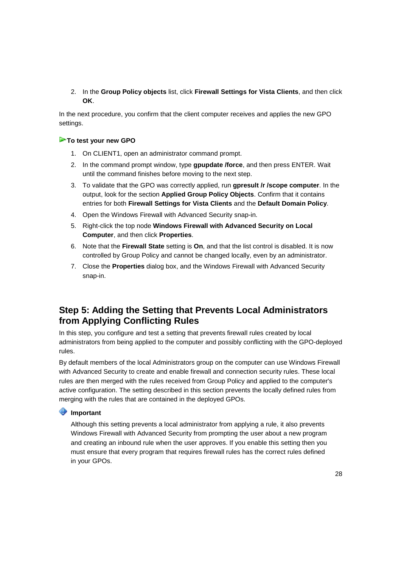2. In the **Group Policy objects** list, click **Firewall Settings for Vista Clients**, and then click **OK**.

In the next procedure, you confirm that the client computer receives and applies the new GPO settings.

#### **To test your new GPO**

- 1. On CLIENT1, open an administrator command prompt.
- 2. In the command prompt window, type **gpupdate /force**, and then press ENTER. Wait until the command finishes before moving to the next step.
- 3. To validate that the GPO was correctly applied, run **gpresult /r /scope computer**. In the output, look for the section **Applied Group Policy Objects**. Confirm that it contains entries for both **Firewall Settings for Vista Clients** and the **Default Domain Policy**.
- 4. Open the Windows Firewall with Advanced Security snap-in.
- 5. Right-click the top node **Windows Firewall with Advanced Security on Local Computer**, and then click **Properties**.
- 6. Note that the **Firewall State** setting is **On**, and that the list control is disabled. It is now controlled by Group Policy and cannot be changed locally, even by an administrator.
- 7. Close the **Properties** dialog box, and the Windows Firewall with Advanced Security snap-in.

# **Step 5: Adding the Setting that Prevents Local Administrators from Applying Conflicting Rules**

In this step, you configure and test a setting that prevents firewall rules created by local administrators from being applied to the computer and possibly conflicting with the GPO-deployed rules.

By default members of the local Administrators group on the computer can use Windows Firewall with Advanced Security to create and enable firewall and connection security rules. These local rules are then merged with the rules received from Group Policy and applied to the computer's active configuration. The setting described in this section prevents the locally defined rules from merging with the rules that are contained in the deployed GPOs.

#### **Important**

Although this setting prevents a local administrator from applying a rule, it also prevents Windows Firewall with Advanced Security from prompting the user about a new program and creating an inbound rule when the user approves. If you enable this setting then you must ensure that every program that requires firewall rules has the correct rules defined in your GPOs.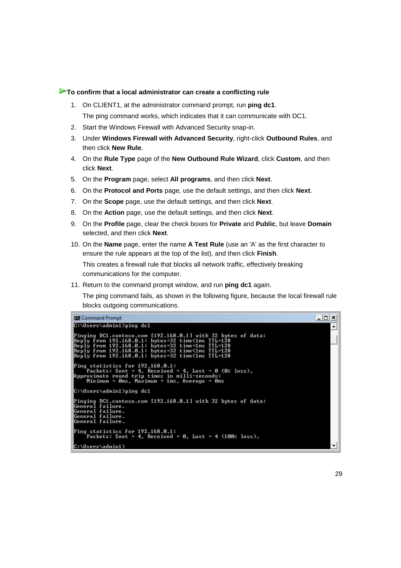#### **To confirm that a local administrator can create a conflicting rule**

- 1. On CLIENT1, at the administrator command prompt, run **ping dc1**. The ping command works, which indicates that it can communicate with DC1.
- 2. Start the Windows Firewall with Advanced Security snap-in.
- 3. Under **Windows Firewall with Advanced Security**, right-click **Outbound Rules**, and then click **New Rule**.
- 4. On the **Rule Type** page of the **New Outbound Rule Wizard**, click **Custom**, and then click **Next**.
- 5. On the **Program** page, select **All programs**, and then click **Next**.
- 6. On the **Protocol and Ports** page, use the default settings, and then click **Next**.
- 7. On the **Scope** page, use the default settings, and then click **Next**.
- 8. On the **Action** page, use the default settings, and then click **Next**.
- 9. On the **Profile** page, clear the check boxes for **Private** and **Public**, but leave **Domain** selected, and then click **Next**.
- 10. On the **Name** page, enter the name **A Test Rule** (use an 'A' as the first character to ensure the rule appears at the top of the list), and then click **Finish**.

This creates a firewall rule that blocks all network traffic, effectively breaking communications for the computer.

11. Return to the command prompt window, and run **ping dc1** again.

The ping command fails, as shown in the following figure, because the local firewall rule blocks outgoing communications.

```
-|D| \timesCommand Prompt
  ::\Users\admin1>ping dc1
Pinging DC1.contoso.com [192.168.0.1] with 32 bytes of data:<br>Reply from 192.168.0.1: bytes=32 time<1ms TTL=128<br>Reply from 192.168.0.1: bytes=32 time=1ms TTL=128<br>Reply from 192.168.0.1: bytes=32 time<1ms TTL=128<br>Reply from 
Ping statistics for 192.168.0.1:<br>Packets: Sent = 4, Received = 4, Lost = 0 (0% loss),<br>Approximate round trip times in milli-seconds:<br>Minimum = 0ms, Maximum = 1ms, Average = 0ms
C:\Users\admin1>ping dc1
pinging DC1.contoso.com [192.168.0.1] with 32 bytes of data:<br>General failure.<br>General failure.<br>General failure.<br>General failure.
Ping statistics for 192.168.0.1:<br>Packets: Sent = 4, Received = 0, Lost = 4 (100% loss),
C:\Users\admin1>
```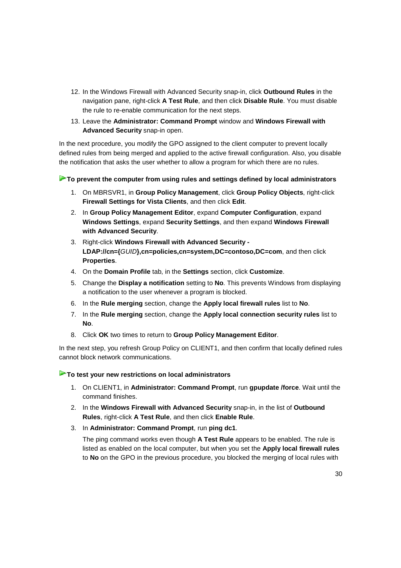- 12. In the Windows Firewall with Advanced Security snap-in, click **Outbound Rules** in the navigation pane, right-click **A Test Rule**, and then click **Disable Rule**. You must disable the rule to re-enable communication for the next steps.
- 13. Leave the **Administrator: Command Prompt** window and **Windows Firewall with Advanced Security** snap-in open.

In the next procedure, you modify the GPO assigned to the client computer to prevent locally defined rules from being merged and applied to the active firewall configuration. Also, you disable the notification that asks the user whether to allow a program for which there are no rules.

#### **To prevent the computer from using rules and settings defined by local administrators**

- 1. On MBRSVR1, in **Group Policy Management**, click **Group Policy Objects**, right-click **Firewall Settings for Vista Clients**, and then click **Edit**.
- 2. In **Group Policy Management Editor**, expand **Computer Configuration**, expand **Windows Settings**, expand **Security Settings**, and then expand **Windows Firewall with Advanced Security**.
- 3. Right-click **Windows Firewall with Advanced Security LDAP://cn={**GUID**},cn=policies,cn=system,DC=contoso,DC=com**, and then click **Properties**.
- 4. On the **Domain Profile** tab, in the **Settings** section, click **Customize**.
- 5. Change the **Display a notification** setting to **No**. This prevents Windows from displaying a notification to the user whenever a program is blocked.
- 6. In the **Rule merging** section, change the **Apply local firewall rules** list to **No**.
- 7. In the **Rule merging** section, change the **Apply local connection security rules** list to **No**.
- 8. Click **OK** two times to return to **Group Policy Management Editor**.

In the next step, you refresh Group Policy on CLIENT1, and then confirm that locally defined rules cannot block network communications.

#### **To test your new restrictions on local administrators**

- 1. On CLIENT1, in **Administrator: Command Prompt**, run **gpupdate /force**. Wait until the command finishes.
- 2. In the **Windows Firewall with Advanced Security** snap-in, in the list of **Outbound Rules**, right-click **A Test Rule**, and then click **Enable Rule**.
- 3. In **Administrator: Command Prompt**, run **ping dc1**.

The ping command works even though **A Test Rule** appears to be enabled. The rule is listed as enabled on the local computer, but when you set the **Apply local firewall rules** to **No** on the GPO in the previous procedure, you blocked the merging of local rules with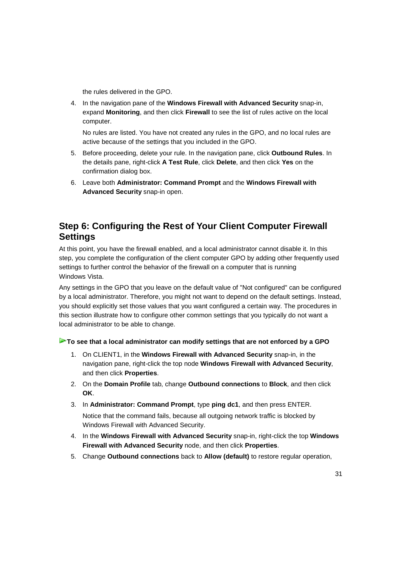the rules delivered in the GPO.

4. In the navigation pane of the **Windows Firewall with Advanced Security** snap-in, expand **Monitoring**, and then click **Firewall** to see the list of rules active on the local computer.

No rules are listed. You have not created any rules in the GPO, and no local rules are active because of the settings that you included in the GPO.

- 5. Before proceeding, delete your rule. In the navigation pane, click **Outbound Rules**. In the details pane, right-click **A Test Rule**, click **Delete**, and then click **Yes** on the confirmation dialog box.
- 6. Leave both **Administrator: Command Prompt** and the **Windows Firewall with Advanced Security** snap-in open.

# **Step 6: Configuring the Rest of Your Client Computer Firewall Settings**

At this point, you have the firewall enabled, and a local administrator cannot disable it. In this step, you complete the configuration of the client computer GPO by adding other frequently used settings to further control the behavior of the firewall on a computer that is running Windows Vista.

Any settings in the GPO that you leave on the default value of "Not configured" can be configured by a local administrator. Therefore, you might not want to depend on the default settings. Instead, you should explicitly set those values that you want configured a certain way. The procedures in this section illustrate how to configure other common settings that you typically do not want a local administrator to be able to change.

**To see that a local administrator can modify settings that are not enforced by a GPO** 

- 1. On CLIENT1, in the **Windows Firewall with Advanced Security** snap-in, in the navigation pane, right-click the top node **Windows Firewall with Advanced Security**, and then click **Properties**.
- 2. On the **Domain Profile** tab, change **Outbound connections** to **Block**, and then click **OK**.
- 3. In **Administrator: Command Prompt**, type **ping dc1**, and then press ENTER.

Notice that the command fails, because all outgoing network traffic is blocked by Windows Firewall with Advanced Security.

- 4. In the **Windows Firewall with Advanced Security** snap-in, right-click the top **Windows Firewall with Advanced Security** node, and then click **Properties**.
- 5. Change **Outbound connections** back to **Allow (default)** to restore regular operation,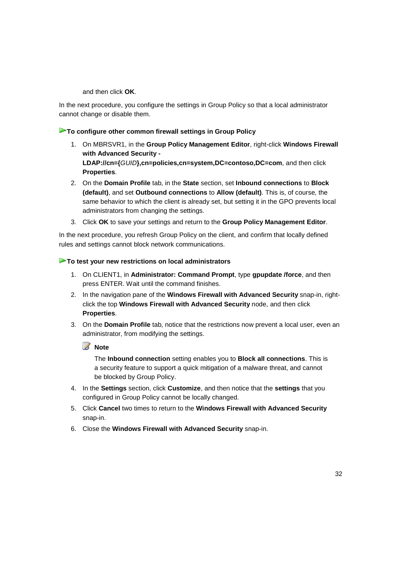and then click **OK**.

In the next procedure, you configure the settings in Group Policy so that a local administrator cannot change or disable them.

#### **To configure other common firewall settings in Group Policy**

- 1. On MBRSVR1, in the **Group Policy Management Editor**, right-click **Windows Firewall with Advanced Security - LDAP://cn={**GUID**},cn=policies,cn=system,DC=contoso,DC=com**, and then click **Properties**.
- 2. On the **Domain Profile** tab, in the **State** section, set **Inbound connections** to **Block (default)**, and set **Outbound connections** to **Allow (default)**. This is, of course, the same behavior to which the client is already set, but setting it in the GPO prevents local administrators from changing the settings.
- 3. Click **OK** to save your settings and return to the **Group Policy Management Editor**.

In the next procedure, you refresh Group Policy on the client, and confirm that locally defined rules and settings cannot block network communications.

#### **To test your new restrictions on local administrators**

- 1. On CLIENT1, in **Administrator: Command Prompt**, type **gpupdate /force**, and then press ENTER. Wait until the command finishes.
- 2. In the navigation pane of the **Windows Firewall with Advanced Security** snap-in, rightclick the top **Windows Firewall with Advanced Security** node, and then click **Properties**.
- 3. On the **Domain Profile** tab, notice that the restrictions now prevent a local user, even an administrator, from modifying the settings.

*A* Note

The **Inbound connection** setting enables you to **Block all connections**. This is a security feature to support a quick mitigation of a malware threat, and cannot be blocked by Group Policy.

- 4. In the **Settings** section, click **Customize**, and then notice that the **settings** that you configured in Group Policy cannot be locally changed.
- 5. Click **Cancel** two times to return to the **Windows Firewall with Advanced Security** snap-in.
- 6. Close the **Windows Firewall with Advanced Security** snap-in.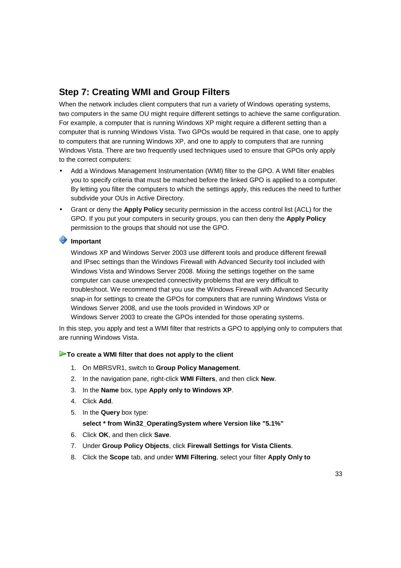# **Step 7: Creating WMI and Group Filters**

When the network includes client computers that run a variety of Windows operating systems, two computers in the same OU might require different settings to achieve the same configuration. For example, a computer that is running Windows XP might require a different setting than a computer that is running Windows Vista. Two GPOs would be required in that case, one to apply to computers that are running Windows XP, and one to apply to computers that are running Windows Vista. There are two frequently used techniques used to ensure that GPOs only apply to the correct computers:

- Add a Windows Management Instrumentation (WMI) filter to the GPO. A WMI filter enables you to specify criteria that must be matched before the linked GPO is applied to a computer. By letting you filter the computers to which the settings apply, this reduces the need to further subdivide your OUs in Active Directory.
- Grant or deny the **Apply Policy** security permission in the access control list (ACL) for the GPO. If you put your computers in security groups, you can then deny the **Apply Policy** permission to the groups that should not use the GPO.

#### **Important**

Windows XP and Windows Server 2003 use different tools and produce different firewall and IPsec settings than the Windows Firewall with Advanced Security tool included with Windows Vista and Windows Server 2008. Mixing the settings together on the same computer can cause unexpected connectivity problems that are very difficult to troubleshoot. We recommend that you use the Windows Firewall with Advanced Security snap-in for settings to create the GPOs for computers that are running Windows Vista or Windows Server 2008, and use the tools provided in Windows XP or Windows Server 2003 to create the GPOs intended for those operating systems.

In this step, you apply and test a WMI filter that restricts a GPO to applying only to computers that are running Windows Vista.

#### **To create a WMI filter that does not apply to the client**

- 1. On MBRSVR1, switch to **Group Policy Management**.
- 2. In the navigation pane, right-click **WMI Filters**, and then click **New**.
- 3. In the **Name** box, type **Apply only to Windows XP**.
- 4. Click **Add**.
- 5. In the **Query** box type:

#### **select \* from Win32\_OperatingSystem where Version like "5.1%"**

- 6. Click **OK**, and then click **Save**.
- 7. Under **Group Policy Objects**, click **Firewall Settings for Vista Clients**.
- 8. Click the **Scope** tab, and under **WMI Filtering**, select your filter **Apply Only to**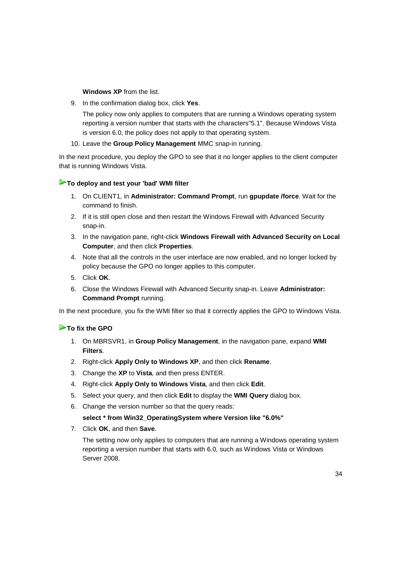**Windows XP** from the list.

9. In the confirmation dialog box, click **Yes**.

The policy now only applies to computers that are running a Windows operating system reporting a version number that starts with the characters"5.1". Because Windows Vista is version 6.0, the policy does not apply to that operating system.

10. Leave the **Group Policy Management** MMC snap-in running.

In the next procedure, you deploy the GPO to see that it no longer applies to the client computer that is running Windows Vista.

#### **To deploy and test your 'bad' WMI filter**

- 1. On CLIENT1, in **Administrator: Command Prompt**, run **gpupdate /force**. Wait for the command to finish.
- 2. If it is still open close and then restart the Windows Firewall with Advanced Security snap-in.
- 3. In the navigation pane, right-click **Windows Firewall with Advanced Security on Local Computer**, and then click **Properties**.
- 4. Note that all the controls in the user interface are now enabled, and no longer locked by policy because the GPO no longer applies to this computer.
- 5. Click **OK**.
- 6. Close the Windows Firewall with Advanced Security snap-in. Leave **Administrator: Command Prompt** running.

In the next procedure, you fix the WMI filter so that it correctly applies the GPO to Windows Vista.

#### **To fix the GPO**

- 1. On MBRSVR1, in **Group Policy Management**, in the navigation pane, expand **WMI Filters**.
- 2. Right-click **Apply Only to Windows XP**, and then click **Rename**.
- 3. Change the **XP** to **Vista**, and then press ENTER.
- 4. Right-click **Apply Only to Windows Vista**, and then click **Edit**.
- 5. Select your query, and then click **Edit** to display the **WMI Query** dialog box.
- 6. Change the version number so that the query reads:

**select \* from Win32\_OperatingSystem where Version like "6.0%"**

7. Click **OK**, and then **Save**.

The setting now only applies to computers that are running a Windows operating system reporting a version number that starts with 6.0, such as Windows Vista or Windows Server 2008.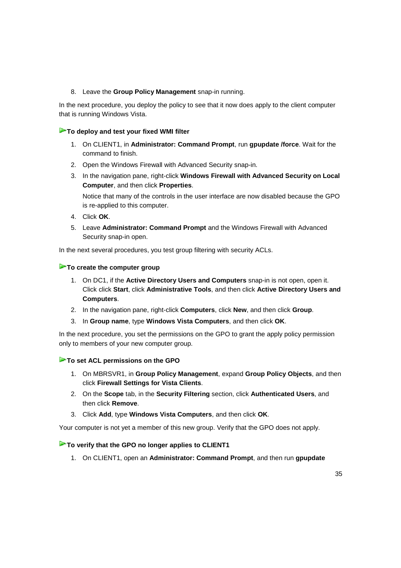#### 8. Leave the **Group Policy Management** snap-in running.

In the next procedure, you deploy the policy to see that it now does apply to the client computer that is running Windows Vista.

#### **To deploy and test your fixed WMI filter**

- 1. On CLIENT1, in **Administrator: Command Prompt**, run **gpupdate /force**. Wait for the command to finish.
- 2. Open the Windows Firewall with Advanced Security snap-in.
- 3. In the navigation pane, right-click **Windows Firewall with Advanced Security on Local Computer**, and then click **Properties**.

Notice that many of the controls in the user interface are now disabled because the GPO is re-applied to this computer.

- 4. Click **OK**.
- 5. Leave **Administrator: Command Prompt** and the Windows Firewall with Advanced Security snap-in open.

In the next several procedures, you test group filtering with security ACLs.

#### **To create the computer group**

- 1. On DC1, if the **Active Directory Users and Computers** snap-in is not open, open it. Click click **Start**, click **Administrative Tools**, and then click **Active Directory Users and Computers**.
- 2. In the navigation pane, right-click **Computers**, click **New**, and then click **Group**.
- 3. In **Group name**, type **Windows Vista Computers**, and then click **OK**.

In the next procedure, you set the permissions on the GPO to grant the apply policy permission only to members of your new computer group.

#### **To set ACL permissions on the GPO**

- 1. On MBRSVR1, in **Group Policy Management**, expand **Group Policy Objects**, and then click **Firewall Settings for Vista Clients**.
- 2. On the **Scope** tab, in the **Security Filtering** section, click **Authenticated Users**, and then click **Remove**.
- 3. Click **Add**, type **Windows Vista Computers**, and then click **OK**.

Your computer is not yet a member of this new group. Verify that the GPO does not apply.

#### **To verify that the GPO no longer applies to CLIENT1**

1. On CLIENT1, open an **Administrator: Command Prompt**, and then run **gpupdate**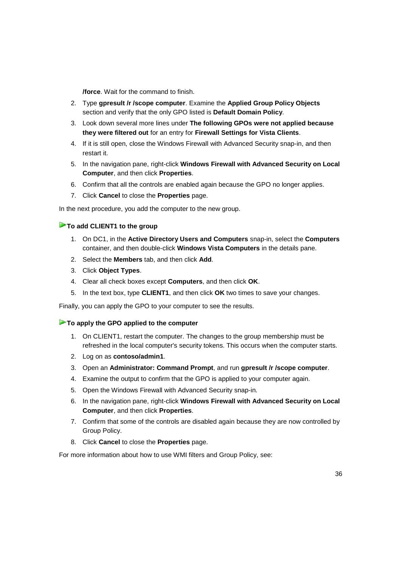**/force**. Wait for the command to finish.

- 2. Type **gpresult /r /scope computer**. Examine the **Applied Group Policy Objects** section and verify that the only GPO listed is **Default Domain Policy**.
- 3. Look down several more lines under **The following GPOs were not applied because they were filtered out** for an entry for **Firewall Settings for Vista Clients**.
- 4. If it is still open, close the Windows Firewall with Advanced Security snap-in, and then restart it.
- 5. In the navigation pane, right-click **Windows Firewall with Advanced Security on Local Computer**, and then click **Properties**.
- 6. Confirm that all the controls are enabled again because the GPO no longer applies.
- 7. Click **Cancel** to close the **Properties** page.

In the next procedure, you add the computer to the new group.

#### **► To add CLIENT1 to the group**

- 1. On DC1, in the **Active Directory Users and Computers** snap-in, select the **Computers** container, and then double-click **Windows Vista Computers** in the details pane.
- 2. Select the **Members** tab, and then click **Add**.
- 3. Click **Object Types**.
- 4. Clear all check boxes except **Computers**, and then click **OK**.
- 5. In the text box, type **CLIENT1**, and then click **OK** two times to save your changes.

Finally, you can apply the GPO to your computer to see the results.

#### **To apply the GPO applied to the computer**

- 1. On CLIENT1, restart the computer. The changes to the group membership must be refreshed in the local computer's security tokens. This occurs when the computer starts.
- 2. Log on as **contoso/admin1**.
- 3. Open an **Administrator: Command Prompt**, and run **gpresult /r /scope computer**.
- 4. Examine the output to confirm that the GPO is applied to your computer again.
- 5. Open the Windows Firewall with Advanced Security snap-in.
- 6. In the navigation pane, right-click **Windows Firewall with Advanced Security on Local Computer**, and then click **Properties**.
- 7. Confirm that some of the controls are disabled again because they are now controlled by Group Policy.
- 8. Click **Cancel** to close the **Properties** page.

For more information about how to use WMI filters and Group Policy, see: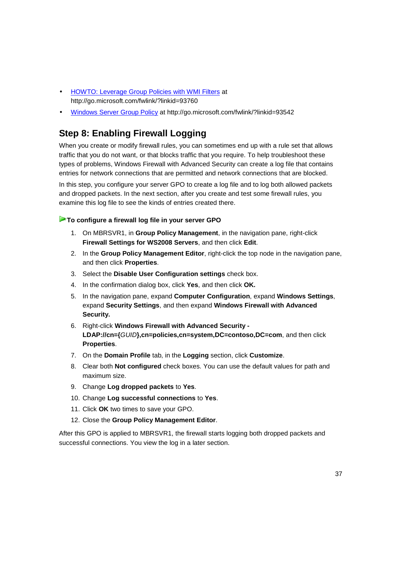- HOWTO: Leverage Group Policies with WMI Filters at http://go.microsoft.com/fwlink/?linkid=93760
- Windows Server Group Policy at http://go.microsoft.com/fwlink/?linkid=93542

# **Step 8: Enabling Firewall Logging**

When you create or modify firewall rules, you can sometimes end up with a rule set that allows traffic that you do not want, or that blocks traffic that you require. To help troubleshoot these types of problems, Windows Firewall with Advanced Security can create a log file that contains entries for network connections that are permitted and network connections that are blocked.

In this step, you configure your server GPO to create a log file and to log both allowed packets and dropped packets. In the next section, after you create and test some firewall rules, you examine this log file to see the kinds of entries created there.

#### **To configure a firewall log file in your server GPO**

- 1. On MBRSVR1, in **Group Policy Management**, in the navigation pane, right-click **Firewall Settings for WS2008 Servers**, and then click **Edit**.
- 2. In the **Group Policy Management Editor**, right-click the top node in the navigation pane, and then click **Properties**.
- 3. Select the **Disable User Configuration settings** check box.
- 4. In the confirmation dialog box, click **Yes**, and then click **OK.**
- 5. In the navigation pane, expand **Computer Configuration**, expand **Windows Settings**, expand **Security Settings**, and then expand **Windows Firewall with Advanced Security.**
- 6. Right-click **Windows Firewall with Advanced Security LDAP://cn={**GUID**},cn=policies,cn=system,DC=contoso,DC=com**, and then click **Properties**.
- 7. On the **Domain Profile** tab, in the **Logging** section, click **Customize**.
- 8. Clear both **Not configured** check boxes. You can use the default values for path and maximum size.
- 9. Change **Log dropped packets** to **Yes**.
- 10. Change **Log successful connections** to **Yes**.
- 11. Click **OK** two times to save your GPO.
- 12. Close the **Group Policy Management Editor**.

After this GPO is applied to MBRSVR1, the firewall starts logging both dropped packets and successful connections. You view the log in a later section.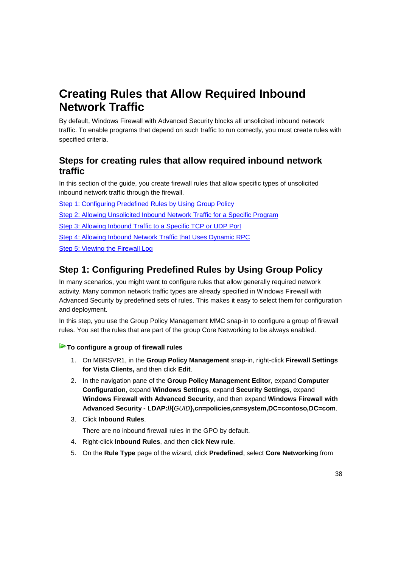# **Creating Rules that Allow Required Inbound Network Traffic**

By default, Windows Firewall with Advanced Security blocks all unsolicited inbound network traffic. To enable programs that depend on such traffic to run correctly, you must create rules with specified criteria.

# **Steps for creating rules that allow required inbound network traffic**

In this section of the guide, you create firewall rules that allow specific types of unsolicited inbound network traffic through the firewall.

Step 1: Configuring Predefined Rules by Using Group Policy

Step 2: Allowing Unsolicited Inbound Network Traffic for a Specific Program

Step 3: Allowing Inbound Traffic to a Specific TCP or UDP Port

Step 4: Allowing Inbound Network Traffic that Uses Dynamic RPC

Step 5: Viewing the Firewall Log

# **Step 1: Configuring Predefined Rules by Using Group Policy**

In many scenarios, you might want to configure rules that allow generally required network activity. Many common network traffic types are already specified in Windows Firewall with Advanced Security by predefined sets of rules. This makes it easy to select them for configuration and deployment.

In this step, you use the Group Policy Management MMC snap-in to configure a group of firewall rules. You set the rules that are part of the group Core Networking to be always enabled.

#### **To configure a group of firewall rules**

- 1. On MBRSVR1, in the **Group Policy Management** snap-in, right-click **Firewall Settings for Vista Clients,** and then click **Edit**.
- 2. In the navigation pane of the **Group Policy Management Editor**, expand **Computer Configuration**, expand **Windows Settings**, expand **Security Settings**, expand **Windows Firewall with Advanced Security**, and then expand **Windows Firewall with Advanced Security - LDAP://{**GUID**},cn=policies,cn=system,DC=contoso,DC=com**.
- 3. Click **Inbound Rules**.

There are no inbound firewall rules in the GPO by default.

- 4. Right-click **Inbound Rules**, and then click **New rule**.
- 5. On the **Rule Type** page of the wizard, click **Predefined**, select **Core Networking** from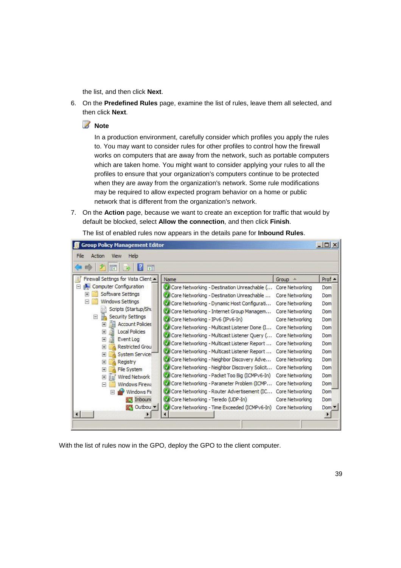the list, and then click **Next**.

- 6. On the **Predefined Rules** page, examine the list of rules, leave them all selected, and then click **Next**.
	- **Z** Note

In a production environment, carefully consider which profiles you apply the rules to. You may want to consider rules for other profiles to control how the firewall works on computers that are away from the network, such as portable computers which are taken home. You might want to consider applying your rules to all the profiles to ensure that your organization's computers continue to be protected when they are away from the organization's network. Some rule modifications may be required to allow expected program behavior on a home or public network that is different from the organization's network.

7. On the **Action** page, because we want to create an exception for traffic that would by default be blocked, select **Allow the connection**, and then click **Finish**.

| 禪                                                                                    |                                                             |                        |                  |
|--------------------------------------------------------------------------------------|-------------------------------------------------------------|------------------------|------------------|
| Firewall Settings for Vista Client -<br>Ę                                            | Name                                                        | Group                  | Prof $\triangle$ |
| <b>Computer Configuration</b><br>Ξ                                                   | Core Networking - Destination Unreachable (                 | Core Networking        | Dom              |
| Software Settings                                                                    | Core Networking - Destination Unreachable                   | Core Networking        | Dom              |
| Windows Settings                                                                     | Core Networking - Dynamic Host Configurati                  | Core Networking        | Dom              |
| Scripts (Startup/Sht                                                                 | Core Networking - Internet Group Managem                    | Core Networking        | Dom              |
| F<br><b>Security Settings</b><br>眉                                                   | Core Networking - IPv6 (IPv6-In)                            | Core Networking        | Dom              |
| <b>Account Policies</b><br>$\overline{+}$<br>$\overline{+}$<br><b>Local Policies</b> | Core Networking - Multicast Listener Done (I                | Core Networking        | Dom              |
| 田<br>Event Log                                                                       | Core Networking - Multicast Listener Query (                | Core Networking        | Dom              |
| <b>Restricted Grou</b><br>$\overline{+}$                                             | Core Networking - Multicast Listener Report                 | Core Networking        | Dom              |
| System Service:<br>$+$                                                               | Core Networking - Multicast Listener Report                 | <b>Core Networking</b> | Dom              |
| Registry<br>$+$                                                                      | Core Networking - Neighbor Discovery Adve                   | Core Networking        | Dom              |
| File System<br>$\overline{+}$                                                        | Core Networking - Neighbor Discovery Solicit                | <b>Core Networking</b> | Dom              |
| <b>Wired Network</b><br>$\pm$<br>En!                                                 | Core Networking - Packet Too Big (ICMPv6-In)                | Core Networking        | Dom              |
| <b>Windows Firewa</b><br>$\Box$                                                      | Core Networking - Parameter Problem (ICMP                   | Core Networking        | Dom              |
| Windows Fir<br>E                                                                     | Core Networking - Router Advertisement (IC Core Networking  |                        | Dom              |
| <b>Ext</b> Inbound                                                                   | Core Networking - Teredo (UDP-In)                           | Core Networking        | Dom              |
| Outbou v                                                                             | Core Networking - Time Exceeded (ICMPv6-In) Core Networking |                        | $Dom -$          |

The list of enabled rules now appears in the details pane for **Inbound Rules**.

With the list of rules now in the GPO, deploy the GPO to the client computer.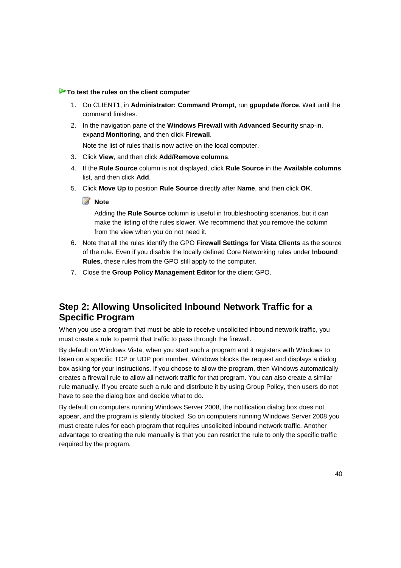#### **To test the rules on the client computer**

- 1. On CLIENT1, in **Administrator: Command Prompt**, run **gpupdate /force**. Wait until the command finishes.
- 2. In the navigation pane of the **Windows Firewall with Advanced Security** snap-in, expand **Monitoring**, and then click **Firewall**.

Note the list of rules that is now active on the local computer.

- 3. Click **View**, and then click **Add/Remove columns**.
- 4. If the **Rule Source** column is not displayed, click **Rule Source** in the **Available columns** list, and then click **Add**.
- 5. Click **Move Up** to position **Rule Source** directly after **Name**, and then click **OK**.

### **Z** Note

Adding the **Rule Source** column is useful in troubleshooting scenarios, but it can make the listing of the rules slower. We recommend that you remove the column from the view when you do not need it.

- 6. Note that all the rules identify the GPO **Firewall Settings for Vista Clients** as the source of the rule. Even if you disable the locally defined Core Networking rules under **Inbound Rules**, these rules from the GPO still apply to the computer.
- 7. Close the **Group Policy Management Editor** for the client GPO.

# **Step 2: Allowing Unsolicited Inbound Network Traffic for a Specific Program**

When you use a program that must be able to receive unsolicited inbound network traffic, you must create a rule to permit that traffic to pass through the firewall.

By default on Windows Vista, when you start such a program and it registers with Windows to listen on a specific TCP or UDP port number, Windows blocks the request and displays a dialog box asking for your instructions. If you choose to allow the program, then Windows automatically creates a firewall rule to allow all network traffic for that program. You can also create a similar rule manually. If you create such a rule and distribute it by using Group Policy, then users do not have to see the dialog box and decide what to do.

By default on computers running Windows Server 2008, the notification dialog box does not appear, and the program is silently blocked. So on computers running Windows Server 2008 you must create rules for each program that requires unsolicited inbound network traffic. Another advantage to creating the rule manually is that you can restrict the rule to only the specific traffic required by the program.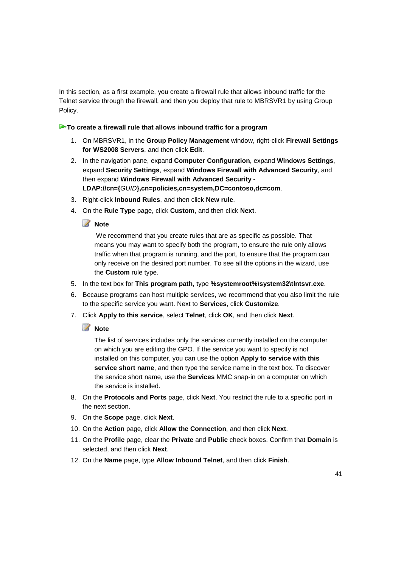In this section, as a first example, you create a firewall rule that allows inbound traffic for the Telnet service through the firewall, and then you deploy that rule to MBRSVR1 by using Group Policy.

#### **To create a firewall rule that allows inbound traffic for a program**

- 1. On MBRSVR1, in the **Group Policy Management** window, right-click **Firewall Settings for WS2008 Servers**, and then click **Edit**.
- 2. In the navigation pane, expand **Computer Configuration**, expand **Windows Settings**, expand **Security Settings**, expand **Windows Firewall with Advanced Security**, and then expand **Windows Firewall with Advanced Security - LDAP://cn={**GUID**},cn=policies,cn=system,DC=contoso,dc=com**.
- 3. Right-click **Inbound Rules**, and then click **New rule**.
- 4. On the **Rule Type** page, click **Custom**, and then click **Next**.

#### **Z** Note

 We recommend that you create rules that are as specific as possible. That means you may want to specify both the program, to ensure the rule only allows traffic when that program is running, and the port, to ensure that the program can only receive on the desired port number. To see all the options in the wizard, use the **Custom** rule type.

- 5. In the text box for **This program path**, type **%systemroot%\system32\tlntsvr.exe**.
- 6. Because programs can host multiple services, we recommend that you also limit the rule to the specific service you want. Next to **Services**, click **Customize**.
- 7. Click **Apply to this service**, select **Telnet**, click **OK**, and then click **Next**.

#### **Z** Note

The list of services includes only the services currently installed on the computer on which you are editing the GPO. If the service you want to specify is not installed on this computer, you can use the option **Apply to service with this service short name**, and then type the service name in the text box. To discover the service short name, use the **Services** MMC snap-in on a computer on which the service is installed.

- 8. On the **Protocols and Ports** page, click **Next**. You restrict the rule to a specific port in the next section.
- 9. On the **Scope** page, click **Next**.
- 10. On the **Action** page, click **Allow the Connection**, and then click **Next**.
- 11. On the **Profile** page, clear the **Private** and **Public** check boxes. Confirm that **Domain** is selected, and then click **Next**.
- 12. On the **Name** page, type **Allow Inbound Telnet**, and then click **Finish**.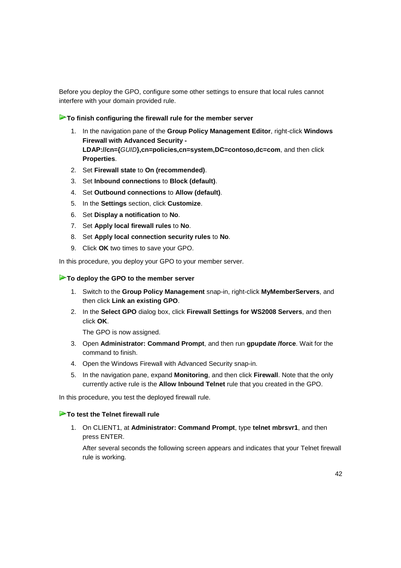Before you deploy the GPO, configure some other settings to ensure that local rules cannot interfere with your domain provided rule.

#### **To finish configuring the firewall rule for the member server**

- 1. In the navigation pane of the **Group Policy Management Editor**, right-click **Windows Firewall with Advanced Security - LDAP://cn={**GUID**},cn=policies,cn=system,DC=contoso,dc=com**, and then click **Properties**.
- 2. Set **Firewall state** to **On (recommended)**.
- 3. Set **Inbound connections** to **Block (default)**.
- 4. Set **Outbound connections** to **Allow (default)**.
- 5. In the **Settings** section, click **Customize**.
- 6. Set **Display a notification** to **No**.
- 7. Set **Apply local firewall rules** to **No**.
- 8. Set **Apply local connection security rules** to **No**.
- 9. Click **OK** two times to save your GPO.

In this procedure, you deploy your GPO to your member server.

#### **To deploy the GPO to the member server**

- 1. Switch to the **Group Policy Management** snap-in, right-click **MyMemberServers**, and then click **Link an existing GPO**.
- 2. In the **Select GPO** dialog box, click **Firewall Settings for WS2008 Servers**, and then click **OK**.

The GPO is now assigned.

- 3. Open **Administrator: Command Prompt**, and then run **gpupdate /force**. Wait for the command to finish.
- 4. Open the Windows Firewall with Advanced Security snap-in.
- 5. In the navigation pane, expand **Monitoring**, and then click **Firewall**. Note that the only currently active rule is the **Allow Inbound Telnet** rule that you created in the GPO.

In this procedure, you test the deployed firewall rule.

#### **To test the Telnet firewall rule**

1. On CLIENT1, at **Administrator: Command Prompt**, type **telnet mbrsvr1**, and then press ENTER.

After several seconds the following screen appears and indicates that your Telnet firewall rule is working.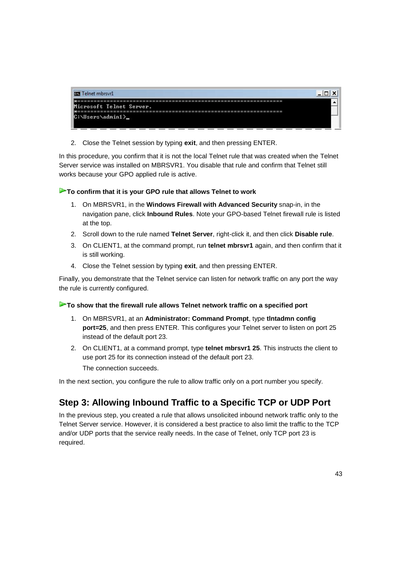

2. Close the Telnet session by typing **exit**, and then pressing ENTER.

In this procedure, you confirm that it is not the local Telnet rule that was created when the Telnet Server service was installed on MBRSVR1. You disable that rule and confirm that Telnet still works because your GPO applied rule is active.

#### **To confirm that it is your GPO rule that allows Telnet to work**

- 1. On MBRSVR1, in the **Windows Firewall with Advanced Security** snap-in, in the navigation pane, click **Inbound Rules**. Note your GPO-based Telnet firewall rule is listed at the top.
- 2. Scroll down to the rule named **Telnet Server**, right-click it, and then click **Disable rule**.
- 3. On CLIENT1, at the command prompt, run **telnet mbrsvr1** again, and then confirm that it is still working.
- 4. Close the Telnet session by typing **exit**, and then pressing ENTER.

Finally, you demonstrate that the Telnet service can listen for network traffic on any port the way the rule is currently configured.

#### **To show that the firewall rule allows Telnet network traffic on a specified port**

- 1. On MBRSVR1, at an **Administrator: Command Prompt**, type **tlntadmn config port=25**, and then press ENTER. This configures your Telnet server to listen on port 25 instead of the default port 23.
- 2. On CLIENT1, at a command prompt, type **telnet mbrsvr1 25**. This instructs the client to use port 25 for its connection instead of the default port 23. The connection succeeds.

In the next section, you configure the rule to allow traffic only on a port number you specify.

# **Step 3: Allowing Inbound Traffic to a Specific TCP or UDP Port**

In the previous step, you created a rule that allows unsolicited inbound network traffic only to the Telnet Server service. However, it is considered a best practice to also limit the traffic to the TCP and/or UDP ports that the service really needs. In the case of Telnet, only TCP port 23 is required.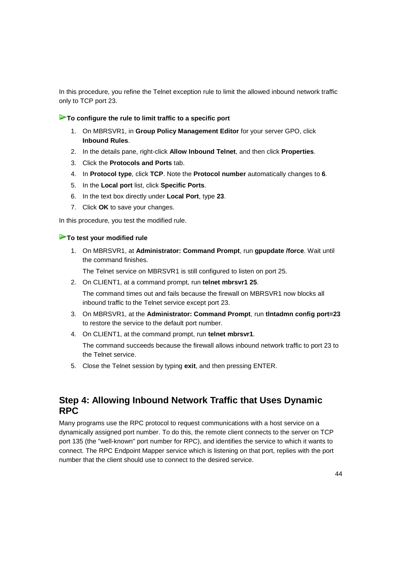In this procedure, you refine the Telnet exception rule to limit the allowed inbound network traffic only to TCP port 23.

#### **To configure the rule to limit traffic to a specific port**

- 1. On MBRSVR1, in **Group Policy Management Editor** for your server GPO, click **Inbound Rules**.
- 2. In the details pane, right-click **Allow Inbound Telnet**, and then click **Properties**.
- 3. Click the **Protocols and Ports** tab.
- 4. In **Protocol type**, click **TCP**. Note the **Protocol number** automatically changes to **6**.
- 5. In the **Local port** list, click **Specific Ports**.
- 6. In the text box directly under **Local Port**, type **23**.
- 7. Click **OK** to save your changes.

In this procedure, you test the modified rule.

#### **To test your modified rule**

1. On MBRSVR1, at **Administrator: Command Prompt**, run **gpupdate /force**. Wait until the command finishes.

The Telnet service on MBRSVR1 is still configured to listen on port 25.

- 2. On CLIENT1, at a command prompt, run **telnet mbrsvr1 25**. The command times out and fails because the firewall on MBRSVR1 now blocks all inbound traffic to the Telnet service except port 23.
- 3. On MBRSVR1, at the **Administrator: Command Prompt**, run **tlntadmn config port=23** to restore the service to the default port number.
- 4. On CLIENT1, at the command prompt, run **telnet mbrsvr1**.

The command succeeds because the firewall allows inbound network traffic to port 23 to the Telnet service.

5. Close the Telnet session by typing **exit**, and then pressing ENTER.

# **Step 4: Allowing Inbound Network Traffic that Uses Dynamic RPC**

Many programs use the RPC protocol to request communications with a host service on a dynamically assigned port number. To do this, the remote client connects to the server on TCP port 135 (the "well-known" port number for RPC), and identifies the service to which it wants to connect. The RPC Endpoint Mapper service which is listening on that port, replies with the port number that the client should use to connect to the desired service.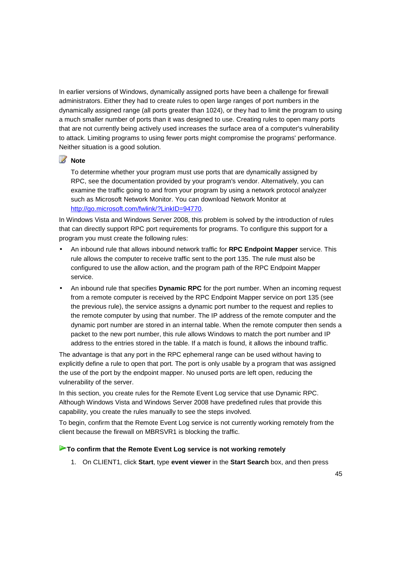In earlier versions of Windows, dynamically assigned ports have been a challenge for firewall administrators. Either they had to create rules to open large ranges of port numbers in the dynamically assigned range (all ports greater than 1024), or they had to limit the program to using a much smaller number of ports than it was designed to use. Creating rules to open many ports that are not currently being actively used increases the surface area of a computer's vulnerability to attack. Limiting programs to using fewer ports might compromise the programs' performance. Neither situation is a good solution.

#### **Z** Note

To determine whether your program must use ports that are dynamically assigned by RPC, see the documentation provided by your program's vendor. Alternatively, you can examine the traffic going to and from your program by using a network protocol analyzer such as Microsoft Network Monitor. You can download Network Monitor at http://go.microsoft.com/fwlink/?LinkID=94770.

In Windows Vista and Windows Server 2008, this problem is solved by the introduction of rules that can directly support RPC port requirements for programs. To configure this support for a program you must create the following rules:

- An inbound rule that allows inbound network traffic for **RPC Endpoint Mapper** service. This rule allows the computer to receive traffic sent to the port 135. The rule must also be configured to use the allow action, and the program path of the RPC Endpoint Mapper service.
- An inbound rule that specifies **Dynamic RPC** for the port number. When an incoming request from a remote computer is received by the RPC Endpoint Mapper service on port 135 (see the previous rule), the service assigns a dynamic port number to the request and replies to the remote computer by using that number. The IP address of the remote computer and the dynamic port number are stored in an internal table. When the remote computer then sends a packet to the new port number, this rule allows Windows to match the port number and IP address to the entries stored in the table. If a match is found, it allows the inbound traffic.

The advantage is that any port in the RPC ephemeral range can be used without having to explicitly define a rule to open that port. The port is only usable by a program that was assigned the use of the port by the endpoint mapper. No unused ports are left open, reducing the vulnerability of the server.

In this section, you create rules for the Remote Event Log service that use Dynamic RPC. Although Windows Vista and Windows Server 2008 have predefined rules that provide this capability, you create the rules manually to see the steps involved.

To begin, confirm that the Remote Event Log service is not currently working remotely from the client because the firewall on MBRSVR1 is blocking the traffic.

#### **To confirm that the Remote Event Log service is not working remotely**

1. On CLIENT1, click **Start**, type **event viewer** in the **Start Search** box, and then press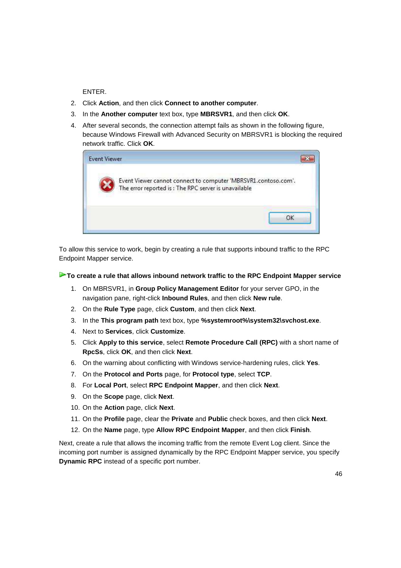ENTER.

- 2. Click **Action**, and then click **Connect to another computer**.
- 3. In the **Another computer** text box, type **MBRSVR1**, and then click **OK**.
- 4. After several seconds, the connection attempt fails as shown in the following figure, because Windows Firewall with Advanced Security on MBRSVR1 is blocking the required network traffic. Click **OK**.



To allow this service to work, begin by creating a rule that supports inbound traffic to the RPC Endpoint Mapper service.

#### **To create a rule that allows inbound network traffic to the RPC Endpoint Mapper service**

- 1. On MBRSVR1, in **Group Policy Management Editor** for your server GPO, in the navigation pane, right-click **Inbound Rules**, and then click **New rule**.
- 2. On the **Rule Type** page, click **Custom**, and then click **Next**.
- 3. In the **This program path** text box, type **%systemroot%\system32\svchost.exe**.
- 4. Next to **Services**, click **Customize**.
- 5. Click **Apply to this service**, select **Remote Procedure Call (RPC)** with a short name of **RpcSs**, click **OK**, and then click **Next**.
- 6. On the warning about conflicting with Windows service-hardening rules, click **Yes**.
- 7. On the **Protocol and Ports** page, for **Protocol type**, select **TCP**.
- 8. For **Local Port**, select **RPC Endpoint Mapper**, and then click **Next**.
- 9. On the **Scope** page, click **Next**.
- 10. On the **Action** page, click **Next**.
- 11. On the **Profile** page, clear the **Private** and **Public** check boxes, and then click **Next**.
- 12. On the **Name** page, type **Allow RPC Endpoint Mapper**, and then click **Finish**.

Next, create a rule that allows the incoming traffic from the remote Event Log client. Since the incoming port number is assigned dynamically by the RPC Endpoint Mapper service, you specify **Dynamic RPC** instead of a specific port number.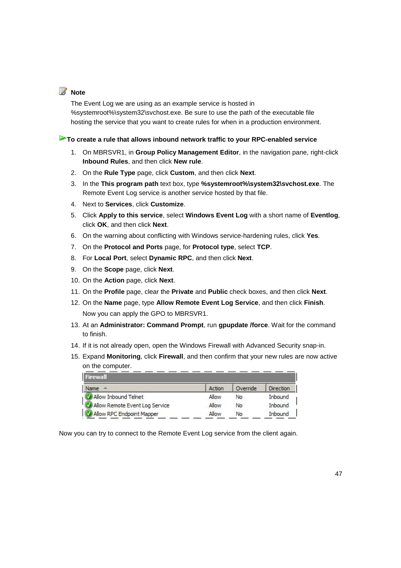### **Note**

The Event Log we are using as an example service is hosted in %systemroot%\system32\svchost.exe. Be sure to use the path of the executable file hosting the service that you want to create rules for when in a production environment.

#### **To create a rule that allows inbound network traffic to your RPC-enabled service**

- 1. On MBRSVR1, in **Group Policy Management Editor**, in the navigation pane, right-click **Inbound Rules**, and then click **New rule**.
- 2. On the **Rule Type** page, click **Custom**, and then click **Next**.
- 3. In the **This program path** text box, type **%systemroot%\system32\svchost.exe**. The Remote Event Log service is another service hosted by that file.
- 4. Next to **Services**, click **Customize**.
- 5. Click **Apply to this service**, select **Windows Event Log** with a short name of **Eventlog**, click **OK**, and then click **Next**.
- 6. On the warning about conflicting with Windows service-hardening rules, click **Yes**.
- 7. On the **Protocol and Ports** page, for **Protocol type**, select **TCP**.
- 8. For **Local Port**, select **Dynamic RPC**, and then click **Next**.
- 9. On the **Scope** page, click **Next**.
- 10. On the **Action** page, click **Next**.
- 11. On the **Profile** page, clear the **Private** and **Public** check boxes, and then click **Next**.
- 12. On the **Name** page, type **Allow Remote Event Log Service**, and then click **Finish**. Now you can apply the GPO to MBRSVR1.
- 13. At an **Administrator: Command Prompt**, run **gpupdate /force**. Wait for the command to finish.
- 14. If it is not already open, open the Windows Firewall with Advanced Security snap-in.
- 15. Expand **Monitoring**, click **Firewall**, and then confirm that your new rules are now active on the computer.  $-$

| Firewall                       |        |          |           |
|--------------------------------|--------|----------|-----------|
| Name<br><b>ALC</b>             | Action | Override | Direction |
| Allow Inbound Telnet           | Allow  | No       | Inbound   |
| Allow Remote Event Log Service | Allow  | No       | Inbound   |
| Allow RPC Endpoint Mapper      | Allow  | No       | Inbound   |

Now you can try to connect to the Remote Event Log service from the client again.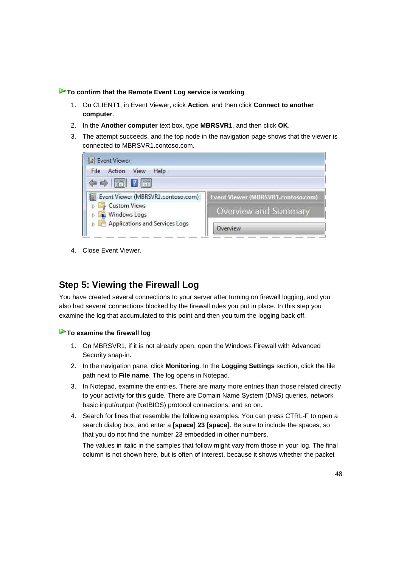#### **To confirm that the Remote Event Log service is working**

- 1. On CLIENT1, in Event Viewer, click **Action**, and then click **Connect to another computer**.
- 2. In the **Another computer** text box, type **MBRSVR1**, and then click **OK**.
- 3. The attempt succeeds, and the top node in the navigation page shows that the viewer is connected to MBRSVR1.contoso.com.

| Event Viewer                                    |                                    |
|-------------------------------------------------|------------------------------------|
| Action<br>View<br>Help<br>File                  |                                    |
| $\Leftrightarrow$ $\blacksquare$ $\blacksquare$ |                                    |
| Event Viewer (MBRSVR1.contoso.com)              | Event Viewer (MBRSVR1.contoso.com) |
| Custom Views<br><b>N</b> Windows Logs           | Overview and Summary               |
| Applications and Services Logs                  | Overview                           |

4. Close Event Viewer.

# **Step 5: Viewing the Firewall Log**

You have created several connections to your server after turning on firewall logging, and you also had several connections blocked by the firewall rules you put in place. In this step you examine the log that accumulated to this point and then you turn the logging back off.

#### **To examine the firewall log**

- 1. On MBRSVR1, if it is not already open, open the Windows Firewall with Advanced Security snap-in.
- 2. In the navigation pane, click **Monitoring**. In the **Logging Settings** section, click the file path next to **File name**. The log opens in Notepad.
- 3. In Notepad, examine the entries. There are many more entries than those related directly to your activity for this guide. There are Domain Name System (DNS) queries, network basic input/output (NetBIOS) protocol connections, and so on.
- 4. Search for lines that resemble the following examples. You can press CTRL-F to open a search dialog box, and enter a **[space] 23 [space]**. Be sure to include the spaces, so that you do not find the number 23 embedded in other numbers.

The values in italic in the samples that follow might vary from those in your log. The final column is not shown here, but is often of interest, because it shows whether the packet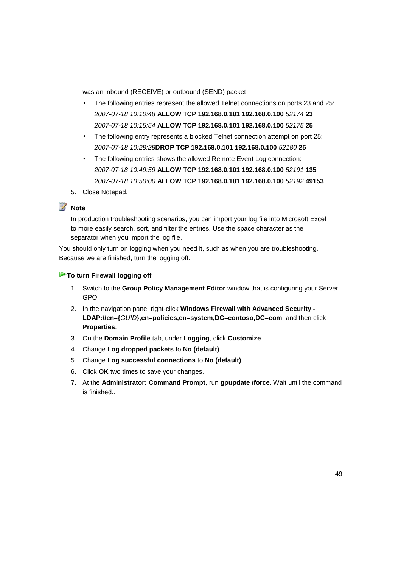was an inbound (RECEIVE) or outbound (SEND) packet.

- The following entries represent the allowed Telnet connections on ports 23 and 25: 2007-07-18 10:10:48 **ALLOW TCP 192.168.0.101 192.168.0.100** 52174 **23** 2007-07-18 10:15:54 **ALLOW TCP 192.168.0.101 192.168.0.100** 52175 **25**
- The following entry represents a blocked Telnet connection attempt on port 25: 2007-07-18 10:28:28**DROP TCP 192.168.0.101 192.168.0.100** 52180 **25**
- The following entries shows the allowed Remote Event Log connection: 2007-07-18 10:49:59 **ALLOW TCP 192.168.0.101 192.168.0.100** 52191 **135** 2007-07-18 10:50:00 **ALLOW TCP 192.168.0.101 192.168.0.100** 52192 **49153**
- 5. Close Notepad.

#### **Z** Note

In production troubleshooting scenarios, you can import your log file into Microsoft Excel to more easily search, sort, and filter the entries. Use the space character as the separator when you import the log file.

You should only turn on logging when you need it, such as when you are troubleshooting. Because we are finished, turn the logging off.

#### **To turn Firewall logging off**

- 1. Switch to the **Group Policy Management Editor** window that is configuring your Server GPO.
- 2. In the navigation pane, right-click **Windows Firewall with Advanced Security LDAP://cn={**GUID**},cn=policies,cn=system,DC=contoso,DC=com**, and then click **Properties**.
- 3. On the **Domain Profile** tab, under **Logging**, click **Customize**.
- 4. Change **Log dropped packets** to **No (default)**.
- 5. Change **Log successful connections** to **No (default)**.
- 6. Click **OK** two times to save your changes.
- 7. At the **Administrator: Command Prompt**, run **gpupdate /force**. Wait until the command is finished..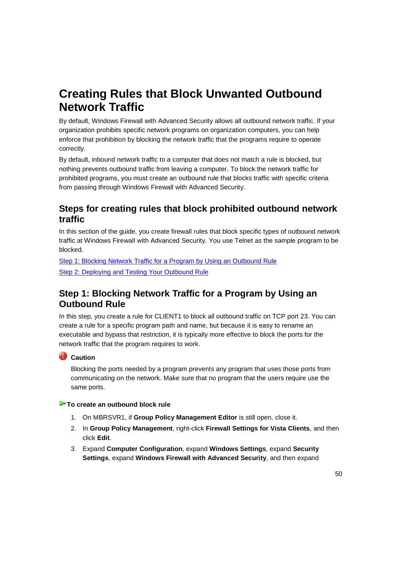# **Creating Rules that Block Unwanted Outbound Network Traffic**

By default, Windows Firewall with Advanced Security allows all outbound network traffic. If your organization prohibits specific network programs on organization computers, you can help enforce that prohibition by blocking the network traffic that the programs require to operate correctly.

By default, inbound network traffic to a computer that does not match a rule is blocked, but nothing prevents outbound traffic from leaving a computer. To block the network traffic for prohibited programs, you must create an outbound rule that blocks traffic with specific criteria from passing through Windows Firewall with Advanced Security.

# **Steps for creating rules that block prohibited outbound network traffic**

In this section of the guide, you create firewall rules that block specific types of outbound network traffic at Windows Firewall with Advanced Security. You use Telnet as the sample program to be blocked.

Step 1: Blocking Network Traffic for a Program by Using an Outbound Rule Step 2: Deploying and Testing Your Outbound Rule

# **Step 1: Blocking Network Traffic for a Program by Using an Outbound Rule**

In this step, you create a rule for CLIENT1 to block all outbound traffic on TCP port 23. You can create a rule for a specific program path and name, but because it is easy to rename an executable and bypass that restriction, it is typically more effective to block the ports for the network traffic that the program requires to work.

#### **Caution**

Blocking the ports needed by a program prevents any program that uses those ports from communicating on the network. Make sure that no program that the users require use the same ports.

#### **To create an outbound block rule**

- 1. On MBRSVR1, if **Group Policy Management Editor** is still open, close it.
- 2. In **Group Policy Management**, right-click **Firewall Settings for Vista Clients**, and then click **Edit**.
- 3. Expand **Computer Configuration**, expand **Windows Settings**, expand **Security Settings**, expand **Windows Firewall with Advanced Security**, and then expand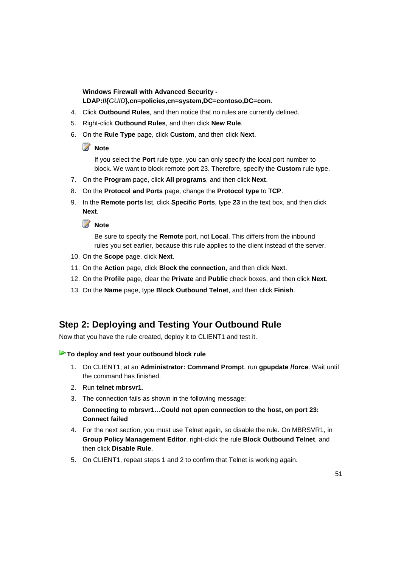**Windows Firewall with Advanced Security - LDAP://{**GUID**},cn=policies,cn=system,DC=contoso,DC=com**.

- 4. Click **Outbound Rules**, and then notice that no rules are currently defined.
- 5. Right-click **Outbound Rules**, and then click **New Rule**.
- 6. On the **Rule Type** page, click **Custom**, and then click **Next**.

#### *A* Note

If you select the **Port** rule type, you can only specify the local port number to block. We want to block remote port 23. Therefore, specify the **Custom** rule type.

- 7. On the **Program** page, click **All programs**, and then click **Next**.
- 8. On the **Protocol and Ports** page, change the **Protocol type** to **TCP**.
- 9. In the **Remote ports** list, click **Specific Ports**, type **23** in the text box, and then click **Next**.

# **Z** Note

Be sure to specify the **Remote** port, not **Local**. This differs from the inbound rules you set earlier, because this rule applies to the client instead of the server.

- 10. On the **Scope** page, click **Next**.
- 11. On the **Action** page, click **Block the connection**, and then click **Next**.
- 12. On the **Profile** page, clear the **Private** and **Public** check boxes, and then click **Next**.
- 13. On the **Name** page, type **Block Outbound Telnet**, and then click **Finish**.

## **Step 2: Deploying and Testing Your Outbound Rule**

Now that you have the rule created, deploy it to CLIENT1 and test it.

#### **To deploy and test your outbound block rule**

- 1. On CLIENT1, at an **Administrator: Command Prompt**, run **gpupdate /force**. Wait until the command has finished.
- 2. Run **telnet mbrsvr1**.
- 3. The connection fails as shown in the following message:

**Connecting to mbrsvr1…Could not open connection to the host, on port 23: Connect failed**

- 4. For the next section, you must use Telnet again, so disable the rule. On MBRSVR1, in **Group Policy Management Editor**, right-click the rule **Block Outbound Telnet**, and then click **Disable Rule**.
- 5. On CLIENT1, repeat steps 1 and 2 to confirm that Telnet is working again.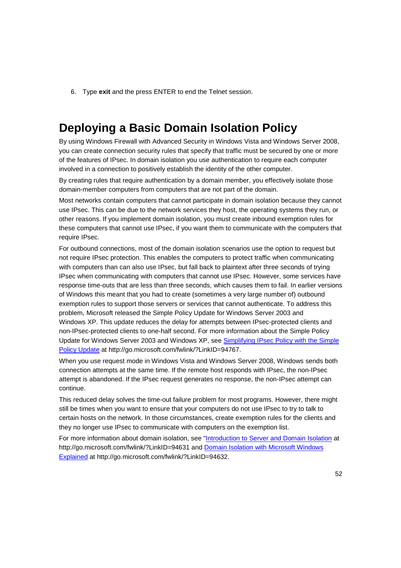6. Type **exit** and the press ENTER to end the Telnet session.

# **Deploying a Basic Domain Isolation Policy**

By using Windows Firewall with Advanced Security in Windows Vista and Windows Server 2008, you can create connection security rules that specify that traffic must be secured by one or more of the features of IPsec. In domain isolation you use authentication to require each computer involved in a connection to positively establish the identity of the other computer.

By creating rules that require authentication by a domain member, you effectively isolate those domain-member computers from computers that are not part of the domain.

Most networks contain computers that cannot participate in domain isolation because they cannot use IPsec. This can be due to the network services they host, the operating systems they run, or other reasons. If you implement domain isolation, you must create inbound exemption rules for these computers that cannot use IPsec, if you want them to communicate with the computers that require IPsec.

For outbound connections, most of the domain isolation scenarios use the option to request but not require IPsec protection. This enables the computers to protect traffic when communicating with computers than can also use IPsec, but fall back to plaintext after three seconds of trying IPsec when communicating with computers that cannot use IPsec. However, some services have response time-outs that are less than three seconds, which causes them to fail. In earlier versions of Windows this meant that you had to create (sometimes a very large number of) outbound exemption rules to support those servers or services that cannot authenticate. To address this problem, Microsoft released the Simple Policy Update for Windows Server 2003 and Windows XP. This update reduces the delay for attempts between IPsec-protected clients and non-IPsec-protected clients to one-half second. For more information about the Simple Policy Update for Windows Server 2003 and Windows XP, see Simplifying IPsec Policy with the Simple Policy Update at http://go.microsoft.com/fwlink/?LinkID=94767.

When you use request mode in Windows Vista and Windows Server 2008, Windows sends both connection attempts at the same time. If the remote host responds with IPsec, the non-IPsec attempt is abandoned. If the IPsec request generates no response, the non-IPsec attempt can continue.

This reduced delay solves the time-out failure problem for most programs. However, there might still be times when you want to ensure that your computers do not use IPsec to try to talk to certain hosts on the network. In those circumstances, create exemption rules for the clients and they no longer use IPsec to communicate with computers on the exemption list.

For more information about domain isolation, see "Introduction to Server and Domain Isolation at http://go.microsoft.com/fwlink/?LinkID=94631 and Domain Isolation with Microsoft Windows Explained at http://go.microsoft.com/fwlink/?LinkID=94632.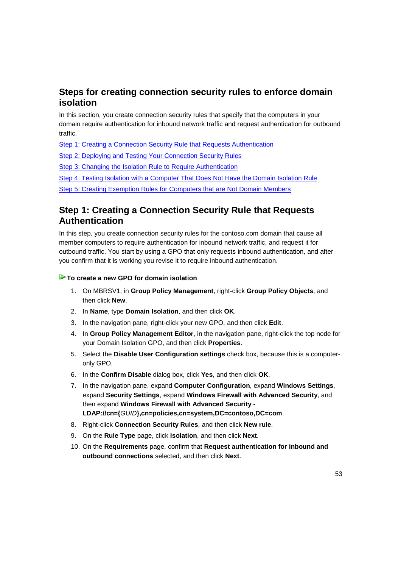# **Steps for creating connection security rules to enforce domain isolation**

In this section, you create connection security rules that specify that the computers in your domain require authentication for inbound network traffic and request authentication for outbound traffic.

Step 1: Creating a Connection Security Rule that Requests Authentication

Step 2: Deploying and Testing Your Connection Security Rules

Step 3: Changing the Isolation Rule to Require Authentication

Step 4: Testing Isolation with a Computer That Does Not Have the Domain Isolation Rule

Step 5: Creating Exemption Rules for Computers that are Not Domain Members

# **Step 1: Creating a Connection Security Rule that Requests Authentication**

In this step, you create connection security rules for the contoso.com domain that cause all member computers to require authentication for inbound network traffic, and request it for outbound traffic. You start by using a GPO that only requests inbound authentication, and after you confirm that it is working you revise it to require inbound authentication.

#### **To create a new GPO for domain isolation**

- 1. On MBRSV1, in **Group Policy Management**, right-click **Group Policy Objects**, and then click **New**.
- 2. In **Name**, type **Domain Isolation**, and then click **OK**.
- 3. In the navigation pane, right-click your new GPO, and then click **Edit**.
- 4. In **Group Policy Management Editor**, in the navigation pane, right-click the top node for your Domain Isolation GPO, and then click **Properties**.
- 5. Select the **Disable User Configuration settings** check box, because this is a computeronly GPO.
- 6. In the **Confirm Disable** dialog box, click **Yes**, and then click **OK**.
- 7. In the navigation pane, expand **Computer Configuration**, expand **Windows Settings**, expand **Security Settings**, expand **Windows Firewall with Advanced Security**, and then expand **Windows Firewall with Advanced Security - LDAP://cn={**GUID**},cn=policies,cn=system,DC=contoso,DC=com**.
- 8. Right-click **Connection Security Rules**, and then click **New rule**.
- 9. On the **Rule Type** page, click **Isolation**, and then click **Next**.
- 10. On the **Requirements** page, confirm that **Request authentication for inbound and outbound connections** selected, and then click **Next**.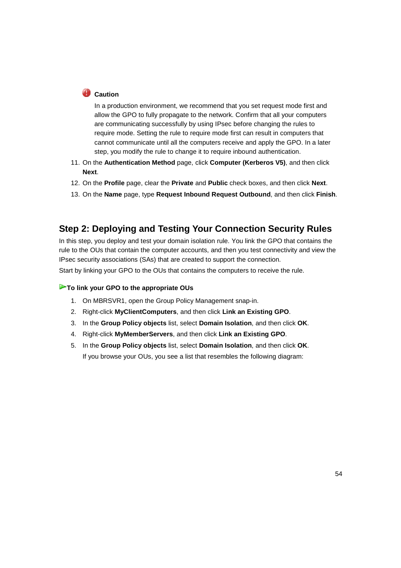# **Caution**

In a production environment, we recommend that you set request mode first and allow the GPO to fully propagate to the network. Confirm that all your computers are communicating successfully by using IPsec before changing the rules to require mode. Setting the rule to require mode first can result in computers that cannot communicate until all the computers receive and apply the GPO. In a later step, you modify the rule to change it to require inbound authentication.

- 11. On the **Authentication Method** page, click **Computer (Kerberos V5)**, and then click **Next**.
- 12. On the **Profile** page, clear the **Private** and **Public** check boxes, and then click **Next**.
- 13. On the **Name** page, type **Request Inbound Request Outbound**, and then click **Finish**.

# **Step 2: Deploying and Testing Your Connection Security Rules**

In this step, you deploy and test your domain isolation rule. You link the GPO that contains the rule to the OUs that contain the computer accounts, and then you test connectivity and view the IPsec security associations (SAs) that are created to support the connection.

Start by linking your GPO to the OUs that contains the computers to receive the rule.

#### **To link your GPO to the appropriate OUs**

- 1. On MBRSVR1, open the Group Policy Management snap-in.
- 2. Right-click **MyClientComputers**, and then click **Link an Existing GPO**.
- 3. In the **Group Policy objects** list, select **Domain Isolation**, and then click **OK**.
- 4. Right-click **MyMemberServers**, and then click **Link an Existing GPO**.
- 5. In the **Group Policy objects** list, select **Domain Isolation**, and then click **OK**. If you browse your OUs, you see a list that resembles the following diagram: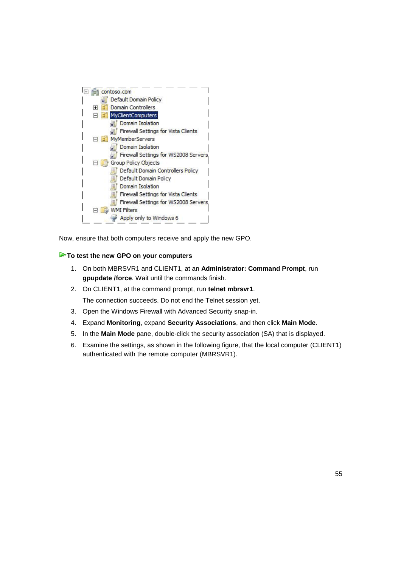

Now, ensure that both computers receive and apply the new GPO.

#### **To test the new GPO on your computers**

- 1. On both MBRSVR1 and CLIENT1, at an **Administrator: Command Prompt**, run **gpupdate /force**. Wait until the commands finish.
- 2. On CLIENT1, at the command prompt, run **telnet mbrsvr1**. The connection succeeds. Do not end the Telnet session yet.
- 3. Open the Windows Firewall with Advanced Security snap-in.
- 4. Expand **Monitoring**, expand **Security Associations**, and then click **Main Mode**.
- 5. In the **Main Mode** pane, double-click the security association (SA) that is displayed.
- 6. Examine the settings, as shown in the following figure, that the local computer (CLIENT1) authenticated with the remote computer (MBRSVR1).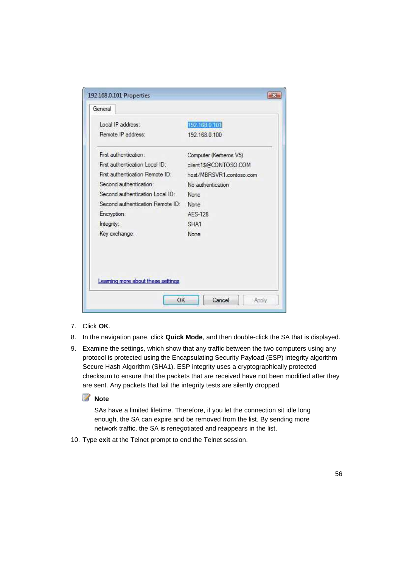| Local IP address:                  | 192 168 0 101            |
|------------------------------------|--------------------------|
| Remote IP address:                 | 192.168.0.100            |
| First authentication:              | Computer (Kerberos V5)   |
| First authentication Local ID:     | client1\$@CONTOSO.COM    |
| First authentication Remote ID:    | host/MBRSVR1.contoso.com |
| Second authentication:             | No authentication        |
| Second authentication Local ID:    | None                     |
| Second authentication Remote ID:   | None                     |
| Encryption:                        | AFS-128                  |
| Integrity:                         | SHA1                     |
| Key exchange:                      | None                     |
| Learning more about these settings |                          |

- 7. Click **OK**.
- 8. In the navigation pane, click **Quick Mode**, and then double-click the SA that is displayed.
- 9. Examine the settings, which show that any traffic between the two computers using any protocol is protected using the Encapsulating Security Payload (ESP) integrity algorithm Secure Hash Algorithm (SHA1). ESP integrity uses a cryptographically protected checksum to ensure that the packets that are received have not been modified after they are sent. Any packets that fail the integrity tests are silently dropped.

#### **Z** Note

SAs have a limited lifetime. Therefore, if you let the connection sit idle long enough, the SA can expire and be removed from the list. By sending more network traffic, the SA is renegotiated and reappears in the list.

10. Type **exit** at the Telnet prompt to end the Telnet session.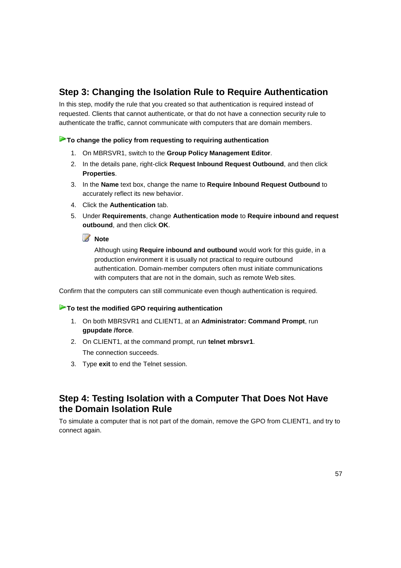# **Step 3: Changing the Isolation Rule to Require Authentication**

In this step, modify the rule that you created so that authentication is required instead of requested. Clients that cannot authenticate, or that do not have a connection security rule to authenticate the traffic, cannot communicate with computers that are domain members.

#### **To change the policy from requesting to requiring authentication**

- 1. On MBRSVR1, switch to the **Group Policy Management Editor**.
- 2. In the details pane, right-click **Request Inbound Request Outbound**, and then click **Properties**.
- 3. In the **Name** text box, change the name to **Require Inbound Request Outbound** to accurately reflect its new behavior.
- 4. Click the **Authentication** tab.
- 5. Under **Requirements**, change **Authentication mode** to **Require inbound and request outbound**, and then click **OK**.

#### **Z** Note

Although using **Require inbound and outbound** would work for this guide, in a production environment it is usually not practical to require outbound authentication. Domain-member computers often must initiate communications with computers that are not in the domain, such as remote Web sites.

Confirm that the computers can still communicate even though authentication is required.

#### **To test the modified GPO requiring authentication**

- 1. On both MBRSVR1 and CLIENT1, at an **Administrator: Command Prompt**, run **gpupdate /force**.
- 2. On CLIENT1, at the command prompt, run **telnet mbrsvr1**. The connection succeeds.
- 3. Type **exit** to end the Telnet session.

# **Step 4: Testing Isolation with a Computer That Does Not Have the Domain Isolation Rule**

To simulate a computer that is not part of the domain, remove the GPO from CLIENT1, and try to connect again.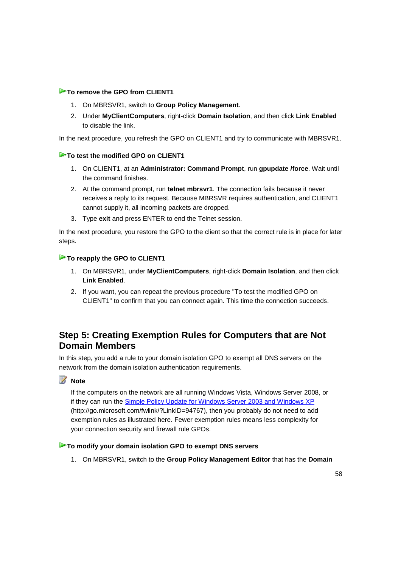#### **To remove the GPO from CLIENT1**

- 1. On MBRSVR1, switch to **Group Policy Management**.
- 2. Under **MyClientComputers**, right-click **Domain Isolation**, and then click **Link Enabled** to disable the link.

In the next procedure, you refresh the GPO on CLIENT1 and try to communicate with MBRSVR1.

#### **To test the modified GPO on CLIENT1**

- 1. On CLIENT1, at an **Administrator: Command Prompt**, run **gpupdate /force**. Wait until the command finishes.
- 2. At the command prompt, run **telnet mbrsvr1**. The connection fails because it never receives a reply to its request. Because MBRSVR requires authentication, and CLIENT1 cannot supply it, all incoming packets are dropped.
- 3. Type **exit** and press ENTER to end the Telnet session.

In the next procedure, you restore the GPO to the client so that the correct rule is in place for later steps.

#### **To reapply the GPO to CLIENT1**

- 1. On MBRSVR1, under **MyClientComputers**, right-click **Domain Isolation**, and then click **Link Enabled**.
- 2. If you want, you can repeat the previous procedure "To test the modified GPO on CLIENT1" to confirm that you can connect again. This time the connection succeeds.

# **Step 5: Creating Exemption Rules for Computers that are Not Domain Members**

In this step, you add a rule to your domain isolation GPO to exempt all DNS servers on the network from the domain isolation authentication requirements.

#### **Z** Note

If the computers on the network are all running Windows Vista, Windows Server 2008, or if they can run the Simple Policy Update for Windows Server 2003 and Windows XP (http://go.microsoft.com/fwlink/?LinkID=94767), then you probably do not need to add exemption rules as illustrated here. Fewer exemption rules means less complexity for your connection security and firewall rule GPOs.

#### **To modify your domain isolation GPO to exempt DNS servers**

1. On MBRSVR1, switch to the **Group Policy Management Editor** that has the **Domain**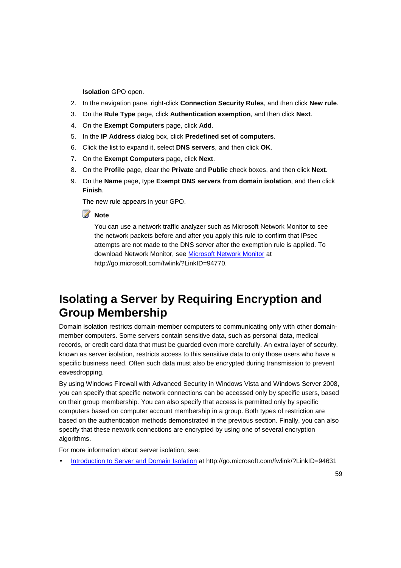**Isolation** GPO open.

- 2. In the navigation pane, right-click **Connection Security Rules**, and then click **New rule**.
- 3. On the **Rule Type** page, click **Authentication exemption**, and then click **Next**.
- 4. On the **Exempt Computers** page, click **Add**.
- 5. In the **IP Address** dialog box, click **Predefined set of computers**.
- 6. Click the list to expand it, select **DNS servers**, and then click **OK**.
- 7. On the **Exempt Computers** page, click **Next**.
- 8. On the **Profile** page, clear the **Private** and **Public** check boxes, and then click **Next**.
- 9. On the **Name** page, type **Exempt DNS servers from domain isolation**, and then click **Finish**.

The new rule appears in your GPO.

#### **Note**

You can use a network traffic analyzer such as Microsoft Network Monitor to see the network packets before and after you apply this rule to confirm that IPsec attempts are not made to the DNS server after the exemption rule is applied. To download Network Monitor, see Microsoft Network Monitor at http://go.microsoft.com/fwlink/?LinkID=94770.

# **Isolating a Server by Requiring Encryption and Group Membership**

Domain isolation restricts domain-member computers to communicating only with other domainmember computers. Some servers contain sensitive data, such as personal data, medical records, or credit card data that must be guarded even more carefully. An extra layer of security, known as server isolation, restricts access to this sensitive data to only those users who have a specific business need. Often such data must also be encrypted during transmission to prevent eavesdropping.

By using Windows Firewall with Advanced Security in Windows Vista and Windows Server 2008, you can specify that specific network connections can be accessed only by specific users, based on their group membership. You can also specify that access is permitted only by specific computers based on computer account membership in a group. Both types of restriction are based on the authentication methods demonstrated in the previous section. Finally, you can also specify that these network connections are encrypted by using one of several encryption algorithms.

For more information about server isolation, see:

• Introduction to Server and Domain Isolation at http://go.microsoft.com/fwlink/?LinkID=94631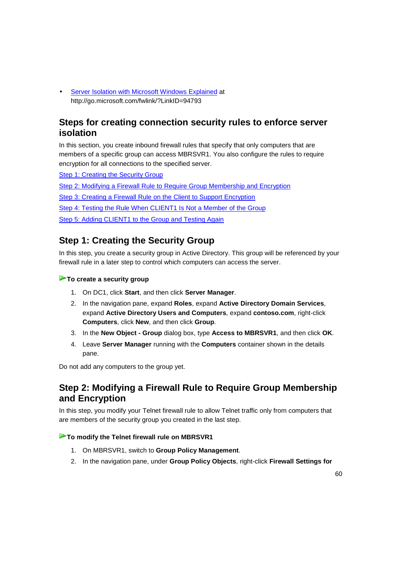• Server Isolation with Microsoft Windows Explained at http://go.microsoft.com/fwlink/?LinkID=94793

# **Steps for creating connection security rules to enforce server isolation**

In this section, you create inbound firewall rules that specify that only computers that are members of a specific group can access MBRSVR1. You also configure the rules to require encryption for all connections to the specified server.

Step 1: Creating the Security Group

Step 2: Modifying a Firewall Rule to Require Group Membership and Encryption

Step 3: Creating a Firewall Rule on the Client to Support Encryption

Step 4: Testing the Rule When CLIENT1 Is Not a Member of the Group

Step 5: Adding CLIENT1 to the Group and Testing Again

# **Step 1: Creating the Security Group**

In this step, you create a security group in Active Directory. This group will be referenced by your firewall rule in a later step to control which computers can access the server.

#### **To create a security group**

- 1. On DC1, click **Start**, and then click **Server Manager**.
- 2. In the navigation pane, expand **Roles**, expand **Active Directory Domain Services**, expand **Active Directory Users and Computers**, expand **contoso.com**, right-click **Computers**, click **New**, and then click **Group**.
- 3. In the **New Object Group** dialog box, type **Access to MBRSVR1**, and then click **OK**.
- 4. Leave **Server Manager** running with the **Computers** container shown in the details pane.

Do not add any computers to the group yet.

# **Step 2: Modifying a Firewall Rule to Require Group Membership and Encryption**

In this step, you modify your Telnet firewall rule to allow Telnet traffic only from computers that are members of the security group you created in the last step.

#### **To modify the Telnet firewall rule on MBRSVR1**

- 1. On MBRSVR1, switch to **Group Policy Management**.
- 2. In the navigation pane, under **Group Policy Objects**, right-click **Firewall Settings for**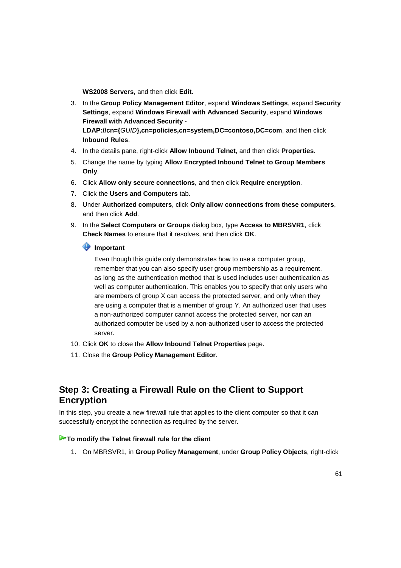**WS2008 Servers**, and then click **Edit**.

- 3. In the **Group Policy Management Editor**, expand **Windows Settings**, expand **Security Settings**, expand **Windows Firewall with Advanced Security**, expand **Windows Firewall with Advanced Security - LDAP://cn={**GUID**},cn=policies,cn=system,DC=contoso,DC=com**, and then click **Inbound Rules**.
- 4. In the details pane, right-click **Allow Inbound Telnet**, and then click **Properties**.
- 5. Change the name by typing **Allow Encrypted Inbound Telnet to Group Members Only**.
- 6. Click **Allow only secure connections**, and then click **Require encryption**.
- 7. Click the **Users and Computers** tab.
- 8. Under **Authorized computers**, click **Only allow connections from these computers**, and then click **Add**.
- 9. In the **Select Computers or Groups** dialog box, type **Access to MBRSVR1**, click **Check Names** to ensure that it resolves, and then click **OK**.

#### **Important**

Even though this guide only demonstrates how to use a computer group, remember that you can also specify user group membership as a requirement, as long as the authentication method that is used includes user authentication as well as computer authentication. This enables you to specify that only users who are members of group X can access the protected server, and only when they are using a computer that is a member of group Y. An authorized user that uses a non-authorized computer cannot access the protected server, nor can an authorized computer be used by a non-authorized user to access the protected server.

- 10. Click **OK** to close the **Allow Inbound Telnet Properties** page.
- 11. Close the **Group Policy Management Editor**.

# **Step 3: Creating a Firewall Rule on the Client to Support Encryption**

In this step, you create a new firewall rule that applies to the client computer so that it can successfully encrypt the connection as required by the server.

#### **To modify the Telnet firewall rule for the client**

1. On MBRSVR1, in **Group Policy Management**, under **Group Policy Objects**, right-click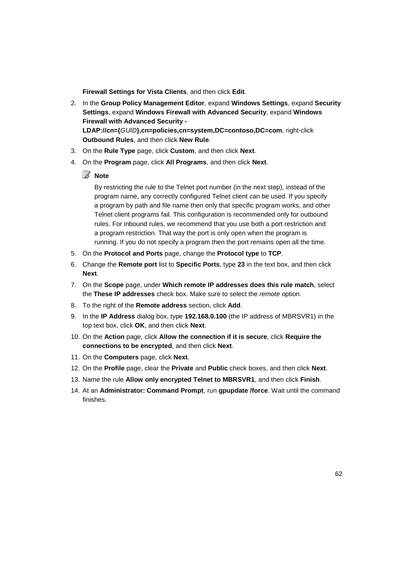**Firewall Settings for Vista Clients**, and then click **Edit**.

- 2. In the **Group Policy Management Editor**, expand **Windows Settings**, expand **Security Settings**, expand **Windows Firewall with Advanced Security**, expand **Windows Firewall with Advanced Security - LDAP://cn={**GUID**},cn=policies,cn=system,DC=contoso,DC=com**, right-click **Outbound Rules**, and then click **New Rule**.
- 3. On the **Rule Type** page, click **Custom**, and then click **Next**.
- 4. On the **Program** page, click **All Programs**, and then click **Next**.
	- **Z** Note

By restricting the rule to the Telnet port number (in the next step), instead of the program name, any correctly configured Telnet client can be used. If you specify a program by path and file name then only that specific program works, and other Telnet client programs fail. This configuration is recommended only for outbound rules. For inbound rules, we recommend that you use both a port restriction and a program restriction. That way the port is only open when the program is running. If you do not specify a program then the port remains open all the time.

- 5. On the **Protocol and Ports** page, change the **Protocol type** to **TCP**.
- 6. Change the **Remote port** list to **Specific Ports**, type **23** in the text box, and then click **Next**.
- 7. On the **Scope** page, under **Which remote IP addresses does this rule match**, select the **These IP addresses** check box. Make sure to select the remote option.
- 8. To the right of the **Remote address** section, click **Add**.
- 9. In the **IP Address** dialog box, type **192.168.0.100** (the IP address of MBRSVR1) in the top text box, click **OK**, and then click **Next**.
- 10. On the **Action** page, click **Allow the connection if it is secure**, click **Require the connections to be encrypted**, and then click **Next**.
- 11. On the **Computers** page, click **Next**.
- 12. On the **Profile** page, clear the **Private** and **Public** check boxes, and then click **Next**.
- 13. Name the rule **Allow only encrypted Telnet to MBRSVR1**, and then click **Finish**.
- 14. At an **Administrator: Command Prompt**, run **gpupdate /force**. Wait until the command finishes.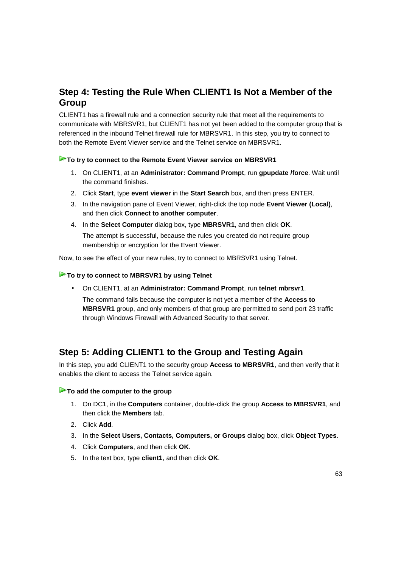# **Step 4: Testing the Rule When CLIENT1 Is Not a Member of the Group**

CLIENT1 has a firewall rule and a connection security rule that meet all the requirements to communicate with MBRSVR1, but CLIENT1 has not yet been added to the computer group that is referenced in the inbound Telnet firewall rule for MBRSVR1. In this step, you try to connect to both the Remote Event Viewer service and the Telnet service on MBRSVR1.

#### **To try to connect to the Remote Event Viewer service on MBRSVR1**

- 1. On CLIENT1, at an **Administrator: Command Prompt**, run **gpupdate /force**. Wait until the command finishes.
- 2. Click **Start**, type **event viewer** in the **Start Search** box, and then press ENTER.
- 3. In the navigation pane of Event Viewer, right-click the top node **Event Viewer (Local)**, and then click **Connect to another computer**.
- 4. In the **Select Computer** dialog box, type **MBRSVR1**, and then click **OK**. The attempt is successful, because the rules you created do not require group membership or encryption for the Event Viewer.

Now, to see the effect of your new rules, try to connect to MBRSVR1 using Telnet.

#### **To try to connect to MBRSVR1 by using Telnet**

• On CLIENT1, at an **Administrator: Command Prompt**, run **telnet mbrsvr1**.

The command fails because the computer is not yet a member of the **Access to MBRSVR1** group, and only members of that group are permitted to send port 23 traffic through Windows Firewall with Advanced Security to that server.

# **Step 5: Adding CLIENT1 to the Group and Testing Again**

In this step, you add CLIENT1 to the security group **Access to MBRSVR1**, and then verify that it enables the client to access the Telnet service again.

#### **To add the computer to the group**

- 1. On DC1, in the **Computers** container, double-click the group **Access to MBRSVR1**, and then click the **Members** tab.
- 2. Click **Add**.
- 3. In the **Select Users, Contacts, Computers, or Groups** dialog box, click **Object Types**.
- 4. Click **Computers**, and then click **OK**.
- 5. In the text box, type **client1**, and then click **OK**.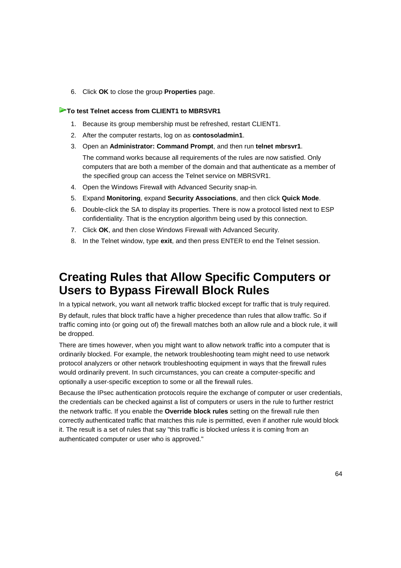6. Click **OK** to close the group **Properties** page.

#### **To test Telnet access from CLIENT1 to MBRSVR1**

- 1. Because its group membership must be refreshed, restart CLIENT1.
- 2. After the computer restarts, log on as **contoso\admin1**.
- 3. Open an **Administrator: Command Prompt**, and then run **telnet mbrsvr1**. The command works because all requirements of the rules are now satisfied. Only computers that are both a member of the domain and that authenticate as a member of the specified group can access the Telnet service on MBRSVR1.
- 4. Open the Windows Firewall with Advanced Security snap-in.
- 5. Expand **Monitoring**, expand **Security Associations**, and then click **Quick Mode**.
- 6. Double-click the SA to display its properties. There is now a protocol listed next to ESP confidentiality. That is the encryption algorithm being used by this connection.
- 7. Click **OK**, and then close Windows Firewall with Advanced Security.
- 8. In the Telnet window, type **exit**, and then press ENTER to end the Telnet session.

# **Creating Rules that Allow Specific Computers or Users to Bypass Firewall Block Rules**

In a typical network, you want all network traffic blocked except for traffic that is truly required. By default, rules that block traffic have a higher precedence than rules that allow traffic. So if traffic coming into (or going out of) the firewall matches both an allow rule and a block rule, it will be dropped.

There are times however, when you might want to allow network traffic into a computer that is ordinarily blocked. For example, the network troubleshooting team might need to use network protocol analyzers or other network troubleshooting equipment in ways that the firewall rules would ordinarily prevent. In such circumstances, you can create a computer-specific and optionally a user-specific exception to some or all the firewall rules.

Because the IPsec authentication protocols require the exchange of computer or user credentials, the credentials can be checked against a list of computers or users in the rule to further restrict the network traffic. If you enable the **Override block rules** setting on the firewall rule then correctly authenticated traffic that matches this rule is permitted, even if another rule would block it. The result is a set of rules that say "this traffic is blocked unless it is coming from an authenticated computer or user who is approved."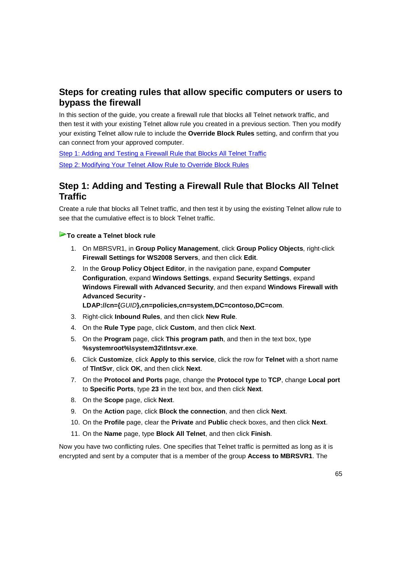# **Steps for creating rules that allow specific computers or users to bypass the firewall**

In this section of the guide, you create a firewall rule that blocks all Telnet network traffic, and then test it with your existing Telnet allow rule you created in a previous section. Then you modify your existing Telnet allow rule to include the **Override Block Rules** setting, and confirm that you can connect from your approved computer.

Step 1: Adding and Testing a Firewall Rule that Blocks All Telnet Traffic Step 2: Modifying Your Telnet Allow Rule to Override Block Rules

# **Step 1: Adding and Testing a Firewall Rule that Blocks All Telnet Traffic**

Create a rule that blocks all Telnet traffic, and then test it by using the existing Telnet allow rule to see that the cumulative effect is to block Telnet traffic.

#### **To create a Telnet block rule**

- 1. On MBRSVR1, in **Group Policy Management**, click **Group Policy Objects**, right-click **Firewall Settings for WS2008 Servers**, and then click **Edit**.
- 2. In the **Group Policy Object Editor**, in the navigation pane, expand **Computer Configuration**, expand **Windows Settings**, expand **Security Settings**, expand **Windows Firewall with Advanced Security**, and then expand **Windows Firewall with Advanced Security -**

**LDAP://cn={**GUID**},cn=policies,cn=system,DC=contoso,DC=com**.

- 3. Right-click **Inbound Rules**, and then click **New Rule**.
- 4. On the **Rule Type** page, click **Custom**, and then click **Next**.
- 5. On the **Program** page, click **This program path**, and then in the text box, type **%systemroot%\system32\tlntsvr.exe**.
- 6. Click **Customize**, click **Apply to this service**, click the row for **Telnet** with a short name of **TlntSvr**, click **OK**, and then click **Next**.
- 7. On the **Protocol and Ports** page, change the **Protocol type** to **TCP**, change **Local port** to **Specific Ports**, type **23** in the text box, and then click **Next**.
- 8. On the **Scope** page, click **Next**.
- 9. On the **Action** page, click **Block the connection**, and then click **Next**.
- 10. On the **Profile** page, clear the **Private** and **Public** check boxes, and then click **Next**.
- 11. On the **Name** page, type **Block All Telnet**, and then click **Finish**.

Now you have two conflicting rules. One specifies that Telnet traffic is permitted as long as it is encrypted and sent by a computer that is a member of the group **Access to MBRSVR1**. The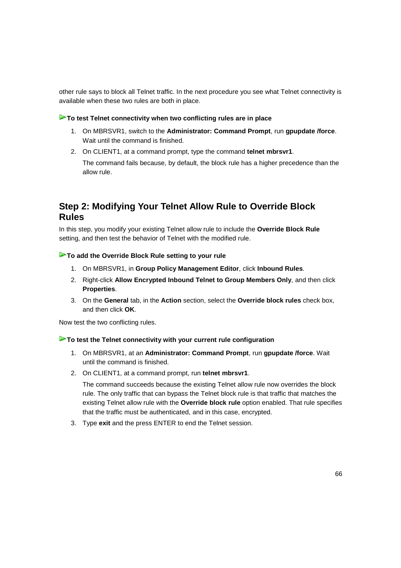other rule says to block all Telnet traffic. In the next procedure you see what Telnet connectivity is available when these two rules are both in place.

#### **To test Telnet connectivity when two conflicting rules are in place**

- 1. On MBRSVR1, switch to the **Administrator: Command Prompt**, run **gpupdate /force**. Wait until the command is finished.
- 2. On CLIENT1, at a command prompt, type the command **telnet mbrsvr1**. The command fails because, by default, the block rule has a higher precedence than the allow rule.

# **Step 2: Modifying Your Telnet Allow Rule to Override Block Rules**

In this step, you modify your existing Telnet allow rule to include the **Override Block Rule** setting, and then test the behavior of Telnet with the modified rule.

#### **To add the Override Block Rule setting to your rule**

- 1. On MBRSVR1, in **Group Policy Management Editor**, click **Inbound Rules**.
- 2. Right-click **Allow Encrypted Inbound Telnet to Group Members Only**, and then click **Properties**.
- 3. On the **General** tab, in the **Action** section, select the **Override block rules** check box, and then click **OK**.

Now test the two conflicting rules.

#### **To test the Telnet connectivity with your current rule configuration**

- 1. On MBRSVR1, at an **Administrator: Command Prompt**, run **gpupdate /force**. Wait until the command is finished.
- 2. On CLIENT1, at a command prompt, run **telnet mbrsvr1**.

The command succeeds because the existing Telnet allow rule now overrides the block rule. The only traffic that can bypass the Telnet block rule is that traffic that matches the existing Telnet allow rule with the **Override block rule** option enabled. That rule specifies that the traffic must be authenticated, and in this case, encrypted.

3. Type **exit** and the press ENTER to end the Telnet session.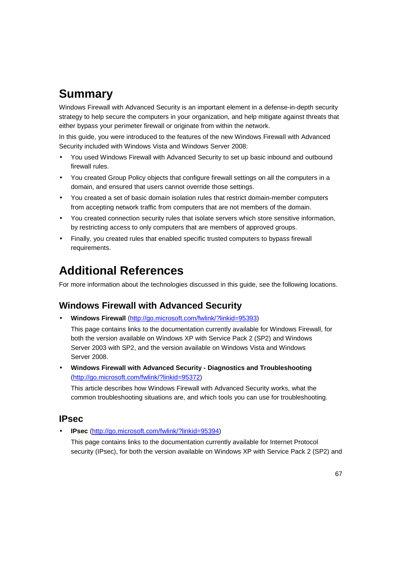# **Summary**

Windows Firewall with Advanced Security is an important element in a defense-in-depth security strategy to help secure the computers in your organization, and help mitigate against threats that either bypass your perimeter firewall or originate from within the network.

In this guide, you were introduced to the features of the new Windows Firewall with Advanced Security included with Windows Vista and Windows Server 2008:

- You used Windows Firewall with Advanced Security to set up basic inbound and outbound firewall rules.
- You created Group Policy objects that configure firewall settings on all the computers in a domain, and ensured that users cannot override those settings.
- You created a set of basic domain isolation rules that restrict domain-member computers from accepting network traffic from computers that are not members of the domain.
- You created connection security rules that isolate servers which store sensitive information, by restricting access to only computers that are members of approved groups.
- Finally, you created rules that enabled specific trusted computers to bypass firewall requirements.

# **Additional References**

For more information about the technologies discussed in this guide, see the following locations.

## **Windows Firewall with Advanced Security**

• **Windows Firewall** (http://go.microsoft.com/fwlink/?linkid=95393)

This page contains links to the documentation currently available for Windows Firewall, for both the version available on Windows XP with Service Pack 2 (SP2) and Windows Server 2003 with SP2, and the version available on Windows Vista and Windows Server 2008.

• **Windows Firewall with Advanced Security - Diagnostics and Troubleshooting** (http://go.microsoft.com/fwlink/?linkid=95372)

This article describes how Windows Firewall with Advanced Security works, what the common troubleshooting situations are, and which tools you can use for troubleshooting.

## **IPsec**

• **IPsec** (http://go.microsoft.com/fwlink/?linkid=95394)

This page contains links to the documentation currently available for Internet Protocol security (IPsec), for both the version available on Windows XP with Service Pack 2 (SP2) and